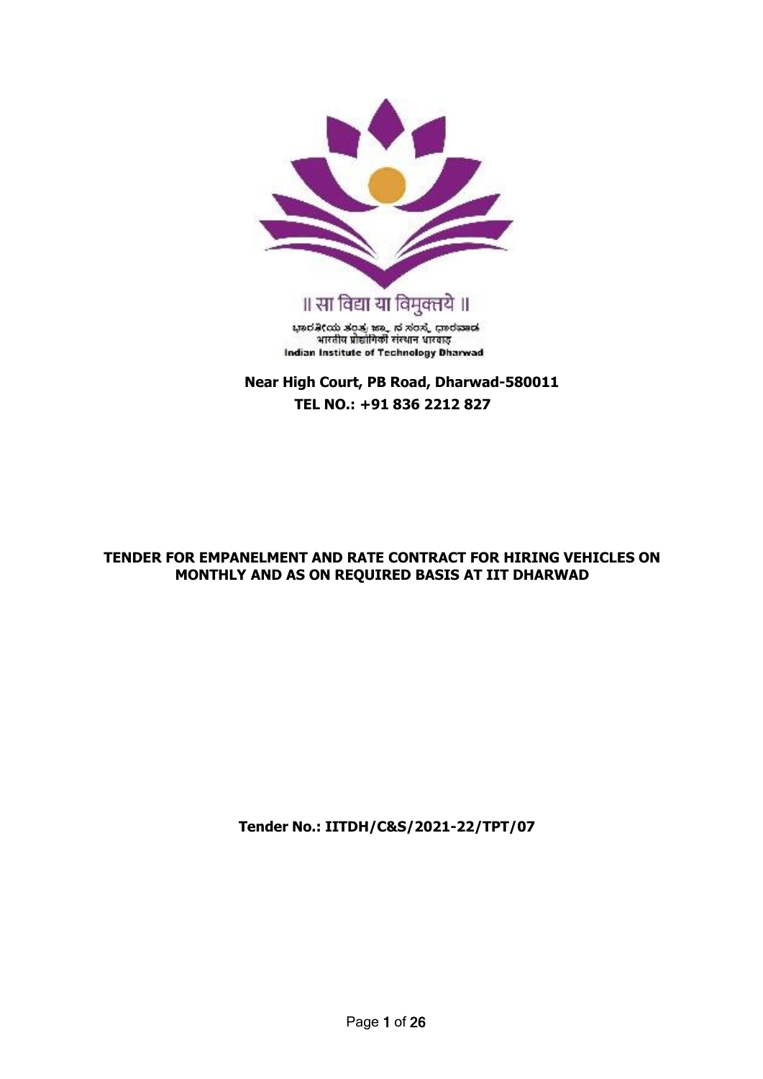

**Near High Court, PB Road, Dharwad-580011 TEL NO.: +91 836 2212 827**

### **TENDER FOR EMPANELMENT AND RATE CONTRACT FOR HIRING VEHICLES ON MONTHLY AND AS ON REQUIRED BASIS AT IIT DHARWAD**

**Tender No.: IITDH/C&S/2021-22/TPT/07**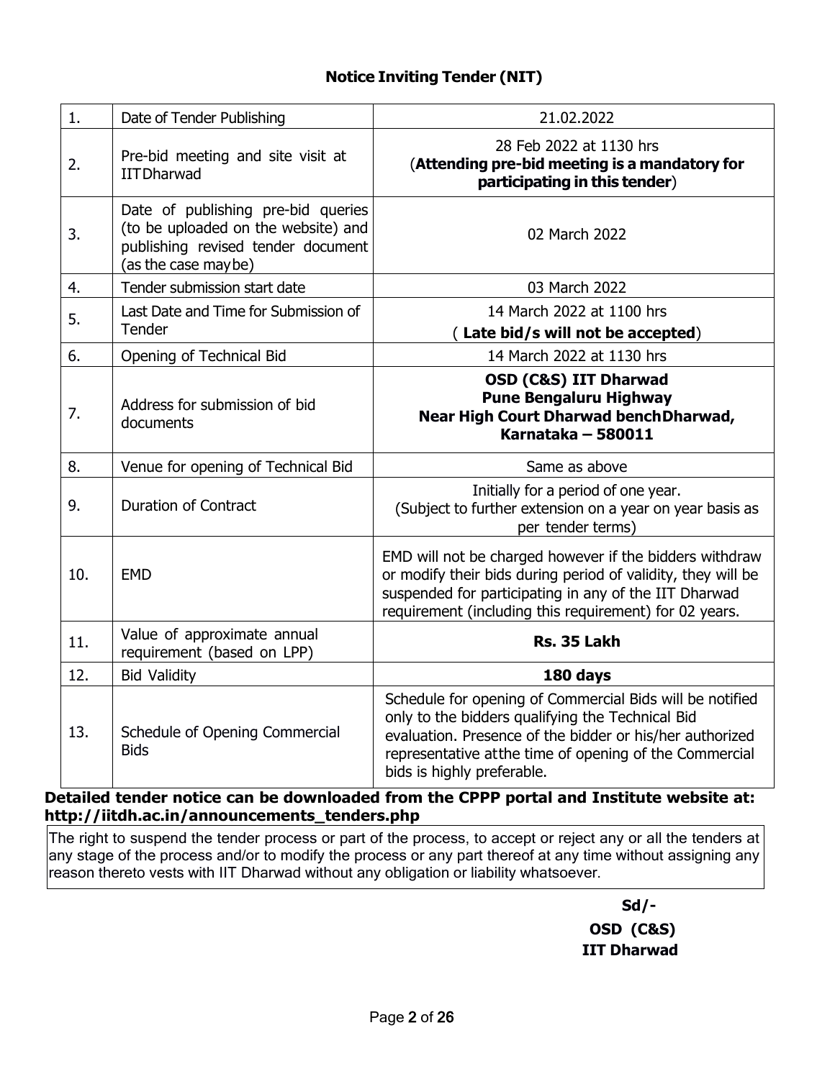| 1.  | Date of Tender Publishing                                                                                                              | 21.02.2022                                                                                                                                                                                                                                                       |
|-----|----------------------------------------------------------------------------------------------------------------------------------------|------------------------------------------------------------------------------------------------------------------------------------------------------------------------------------------------------------------------------------------------------------------|
| 2.  | Pre-bid meeting and site visit at<br><b>IITDharwad</b>                                                                                 | 28 Feb 2022 at 1130 hrs<br>(Attending pre-bid meeting is a mandatory for<br>participating in this tender)                                                                                                                                                        |
| 3.  | Date of publishing pre-bid queries<br>(to be uploaded on the website) and<br>publishing revised tender document<br>(as the case maybe) | 02 March 2022                                                                                                                                                                                                                                                    |
| 4.  | Tender submission start date                                                                                                           | 03 March 2022                                                                                                                                                                                                                                                    |
| 5.  | Last Date and Time for Submission of<br>Tender                                                                                         | 14 March 2022 at 1100 hrs<br>(Late bid/s will not be accepted)                                                                                                                                                                                                   |
| 6.  | Opening of Technical Bid                                                                                                               | 14 March 2022 at 1130 hrs                                                                                                                                                                                                                                        |
| 7.  | Address for submission of bid<br>documents                                                                                             | <b>OSD (C&amp;S) IIT Dharwad</b><br><b>Pune Bengaluru Highway</b><br>Near High Court Dharwad bench Dharwad,<br>Karnataka - 580011                                                                                                                                |
| 8.  | Venue for opening of Technical Bid                                                                                                     | Same as above                                                                                                                                                                                                                                                    |
| 9.  | <b>Duration of Contract</b>                                                                                                            | Initially for a period of one year.<br>(Subject to further extension on a year on year basis as<br>per tender terms)                                                                                                                                             |
| 10. | <b>EMD</b>                                                                                                                             | EMD will not be charged however if the bidders withdraw<br>or modify their bids during period of validity, they will be<br>suspended for participating in any of the IIT Dharwad<br>requirement (including this requirement) for 02 years.                       |
| 11. | Value of approximate annual<br>requirement (based on LPP)                                                                              | Rs. 35 Lakh                                                                                                                                                                                                                                                      |
| 12. | <b>Bid Validity</b>                                                                                                                    | 180 days                                                                                                                                                                                                                                                         |
| 13. | Schedule of Opening Commercial<br><b>Bids</b>                                                                                          | Schedule for opening of Commercial Bids will be notified<br>only to the bidders qualifying the Technical Bid<br>evaluation. Presence of the bidder or his/her authorized<br>representative atthe time of opening of the Commercial<br>bids is highly preferable. |

**Detailed tender notice can be downloaded from the CPPP portal and Institute website at: [http://iitdh.ac.in/announcements\\_tenders.php](http://iitdh.ac.in/announcements_tenders.php)**

The right to suspend the tender process or part of the process, to accept or reject any or all the tenders at any stage of the process and/or to modify the process or any part thereof at any time without assigning any reason thereto vests with IIT Dharwad without any obligation or liability whatsoever.

> **Sd/- OSD (C&S) IIT Dharwad**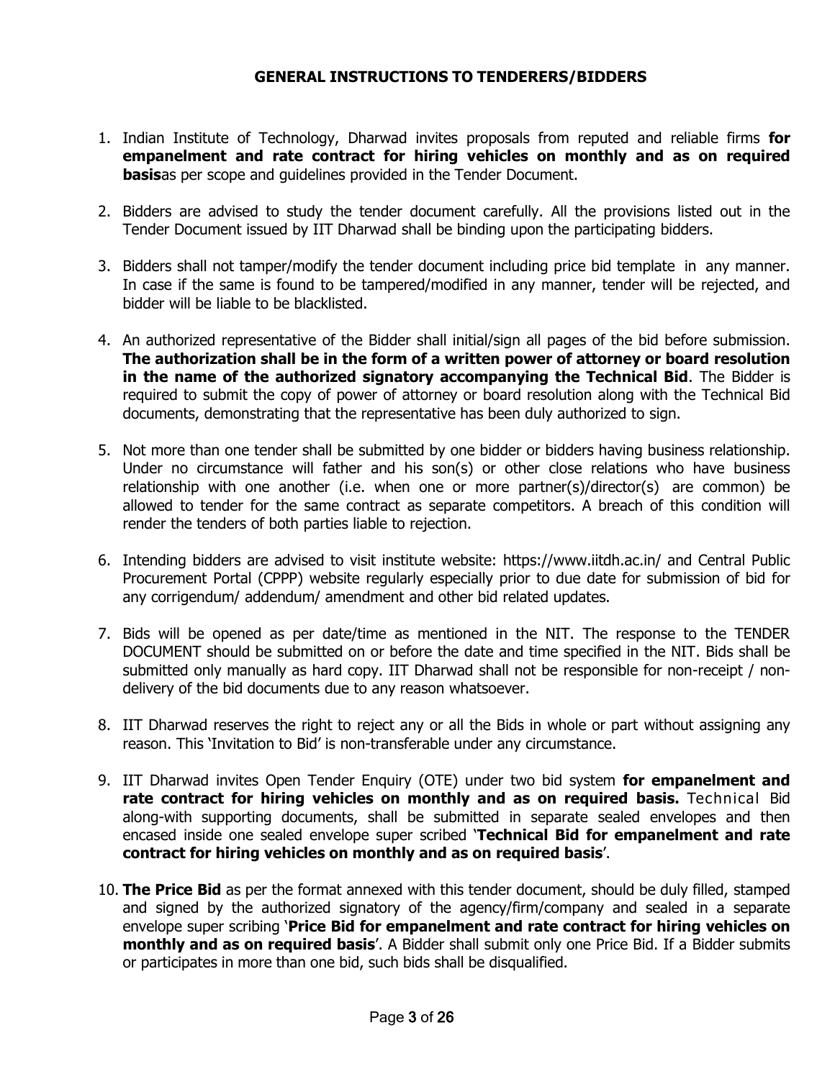#### **GENERAL INSTRUCTIONS TO TENDERERS/BIDDERS**

- 1. Indian Institute of Technology, Dharwad invites proposals from reputed and reliable firms **for empanelment and rate contract for hiring vehicles on monthly and as on required basis**as per scope and guidelines provided in the Tender Document.
- 2. Bidders are advised to study the tender document carefully. All the provisions listed out in the Tender Document issued by IIT Dharwad shall be binding upon the participating bidders.
- 3. Bidders shall not tamper/modify the tender document including price bid template in any manner. In case if the same is found to be tampered/modified in any manner, tender will be rejected, and bidder will be liable to be blacklisted.
- 4. An authorized representative of the Bidder shall initial/sign all pages of the bid before submission. **The authorization shall be in the form of a written power of attorney or board resolution in the name of the authorized signatory accompanying the Technical Bid**. The Bidder is required to submit the copy of power of attorney or board resolution along with the Technical Bid documents, demonstrating that the representative has been duly authorized to sign.
- 5. Not more than one tender shall be submitted by one bidder or bidders having business relationship. Under no circumstance will father and his son(s) or other close relations who have business relationship with one another (i.e. when one or more partner(s)/director(s) are common) be allowed to tender for the same contract as separate competitors. A breach of this condition will render the tenders of both parties liable to rejection.
- 6. Intending bidders are advised to visit institute website: https:/[/www.iitdh.ac.in/ a](http://www.iitdh.ac.in/)nd Central Public Procurement Portal (CPPP) website regularly especially prior to due date for submission of bid for any corrigendum/ addendum/ amendment and other bid related updates.
- 7. Bids will be opened as per date/time as mentioned in the NIT. The response to the TENDER DOCUMENT should be submitted on or before the date and time specified in the NIT. Bids shall be submitted only manually as hard copy. IIT Dharwad shall not be responsible for non-receipt / nondelivery of the bid documents due to any reason whatsoever.
- 8. IIT Dharwad reserves the right to reject any or all the Bids in whole or part without assigning any reason. This 'Invitation to Bid' is non-transferable under any circumstance.
- 9. IIT Dharwad invites Open Tender Enquiry (OTE) under two bid system **for empanelment and rate contract for hiring vehicles on monthly and as on required basis.** Technical Bid along-with supporting documents, shall be submitted in separate sealed envelopes and then encased inside one sealed envelope super scribed '**Technical Bid for empanelment and rate contract for hiring vehicles on monthly and as on required basis**'.
- 10. **The Price Bid** as per the format annexed with this tender document, should be duly filled, stamped and signed by the authorized signatory of the agency/firm/company and sealed in a separate envelope super scribing '**Price Bid for empanelment and rate contract for hiring vehicles on monthly and as on required basis**'. A Bidder shall submit only one Price Bid. If a Bidder submits or participates in more than one bid, such bids shall be disqualified.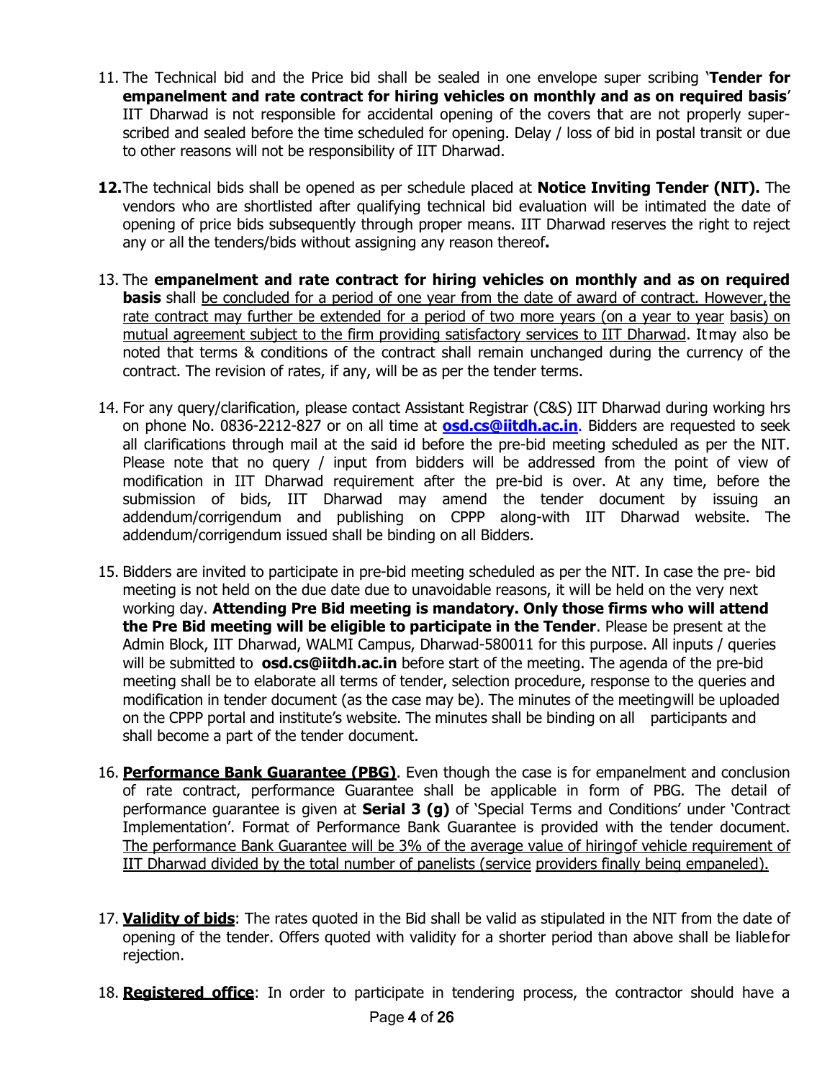- 11. The Technical bid and the Price bid shall be sealed in one envelope super scribing '**Tender for empanelment and rate contract for hiring vehicles on monthly and as on required basis**' IIT Dharwad is not responsible for accidental opening of the covers that are not properly superscribed and sealed before the time scheduled for opening. Delay / loss of bid in postal transit or due to other reasons will not be responsibility of IIT Dharwad.
- **12.**The technical bids shall be opened as per schedule placed at **Notice Inviting Tender (NIT).** The vendors who are shortlisted after qualifying technical bid evaluation will be intimated the date of opening of price bids subsequently through proper means. IIT Dharwad reserves the right to reject any or all the tenders/bids without assigning any reason thereof**.**
- 13. The **empanelment and rate contract for hiring vehicles on monthly and as on required basis** shall be concluded for a period of one year from the date of award of contract. However, the rate contract may further be extended for a period of two more years (on a year to year basis) on mutual agreement subject to the firm providing satisfactory services to IIT Dharwad. Itmay also be noted that terms & conditions of the contract shall remain unchanged during the currency of the contract. The revision of rates, if any, will be as per the tender terms.
- 14. For any query/clarification, please contact Assistant Registrar (C&S) IIT Dharwad during working hrs on phone No. 0836-2212-827 or on all time at **[osd.cs@iitdh.ac.in](mailto:osd.cs@iitdh.ac.in.)**. Bidders are requested to seek all clarifications through mail at the said id before the pre-bid meeting scheduled as per the NIT. Please note that no query / input from bidders will be addressed from the point of view of modification in IIT Dharwad requirement after the pre-bid is over. At any time, before the submission of bids, IIT Dharwad may amend the tender document by issuing an addendum/corrigendum and publishing on CPPP along-with IIT Dharwad website. The addendum/corrigendum issued shall be binding on all Bidders.
- 15. Bidders are invited to participate in pre-bid meeting scheduled as per the NIT. In case the pre- bid meeting is not held on the due date due to unavoidable reasons, it will be held on the very next working day. **Attending Pre Bid meeting is mandatory. Only those firms who will attend the Pre Bid meeting will be eligible to participate in the Tender**. Please be present at the Admin Block, IIT Dharwad, WALMI Campus, Dharwad-580011 for this purpose. All inputs / queries will be submitted to **[osd.cs@iitdh.ac.in](mailto:arcs@iitdh.ac.in)** before start of the meeting. The agenda of the pre-bid meeting shall be to elaborate all terms of tender, selection procedure, response to the queries and modification in tender document (as the case may be). The minutes of the meetingwill be uploaded on the CPPP portal and institute's website. The minutes shall be binding on all participants and shall become a part of the tender document.
- 16. **Performance Bank Guarantee (PBG)**. Even though the case is for empanelment and conclusion of rate contract, performance Guarantee shall be applicable in form of PBG. The detail of performance guarantee is given at **Serial 3 (g)** of 'Special Terms and Conditions' under 'Contract Implementation'. Format of Performance Bank Guarantee is provided with the tender document. The performance Bank Guarantee will be 3% of the average value of hiringof vehicle requirement of IIT Dharwad divided by the total number of panelists (service providers finally being empaneled).
- 17. **Validity of bids**: The rates quoted in the Bid shall be valid as stipulated in the NIT from the date of opening of the tender. Offers quoted with validity for a shorter period than above shall be liablefor rejection.
- 18. **Registered office**: In order to participate in tendering process, the contractor should have a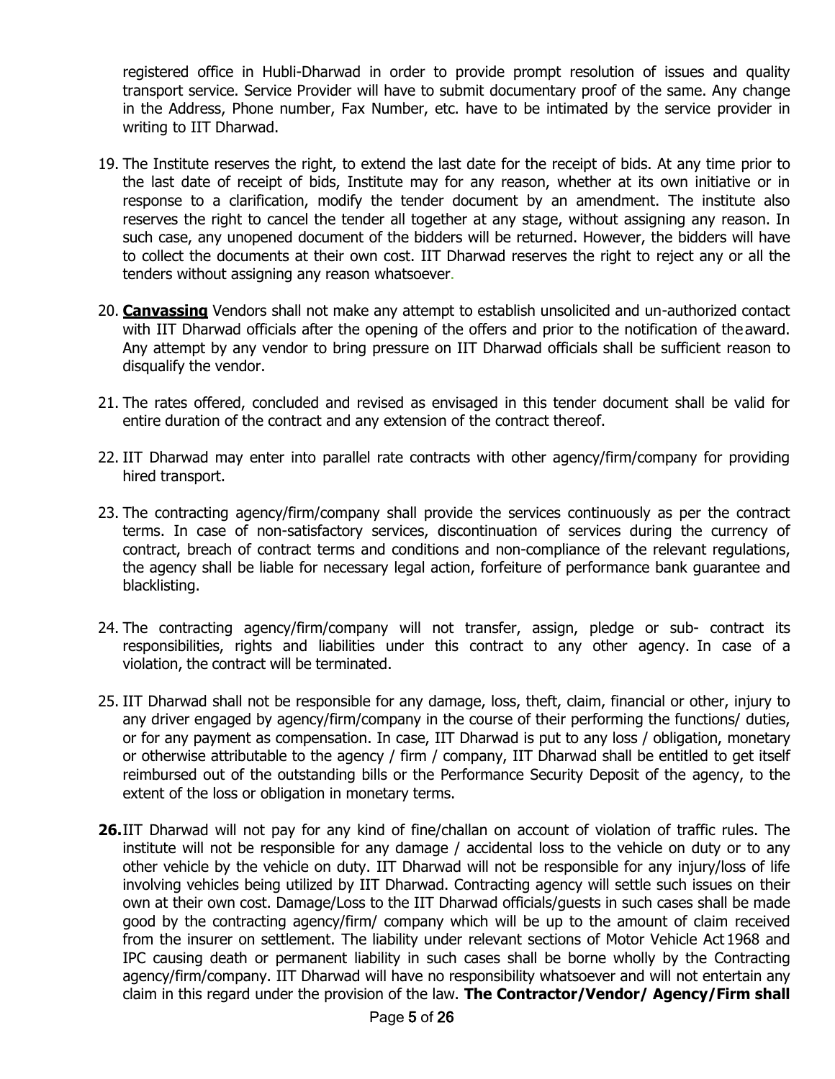registered office in Hubli-Dharwad in order to provide prompt resolution of issues and quality transport service. Service Provider will have to submit documentary proof of the same. Any change in the Address, Phone number, Fax Number, etc. have to be intimated by the service provider in writing to IIT Dharwad.

- 19. The Institute reserves the right, to extend the last date for the receipt of bids. At any time prior to the last date of receipt of bids, Institute may for any reason, whether at its own initiative or in response to a clarification, modify the tender document by an amendment. The institute also reserves the right to cancel the tender all together at any stage, without assigning any reason. In such case, any unopened document of the bidders will be returned. However, the bidders will have to collect the documents at their own cost. IIT Dharwad reserves the right to reject any or all the tenders without assigning any reason whatsoever.
- 20. **Canvassing** Vendors shall not make any attempt to establish unsolicited and un-authorized contact with IIT Dharwad officials after the opening of the offers and prior to the notification of the award. Any attempt by any vendor to bring pressure on IIT Dharwad officials shall be sufficient reason to disqualify the vendor.
- 21. The rates offered, concluded and revised as envisaged in this tender document shall be valid for entire duration of the contract and any extension of the contract thereof.
- 22. IIT Dharwad may enter into parallel rate contracts with other agency/firm/company for providing hired transport.
- 23. The contracting agency/firm/company shall provide the services continuously as per the contract terms. In case of non-satisfactory services, discontinuation of services during the currency of contract, breach of contract terms and conditions and non-compliance of the relevant regulations, the agency shall be liable for necessary legal action, forfeiture of performance bank guarantee and blacklisting.
- 24. The contracting agency/firm/company will not transfer, assign, pledge or sub- contract its responsibilities, rights and liabilities under this contract to any other agency. In case of a violation, the contract will be terminated.
- 25. IIT Dharwad shall not be responsible for any damage, loss, theft, claim, financial or other, injury to any driver engaged by agency/firm/company in the course of their performing the functions/ duties, or for any payment as compensation. In case, IIT Dharwad is put to any loss / obligation, monetary or otherwise attributable to the agency / firm / company, IIT Dharwad shall be entitled to get itself reimbursed out of the outstanding bills or the Performance Security Deposit of the agency, to the extent of the loss or obligation in monetary terms.
- **26.**IIT Dharwad will not pay for any kind of fine/challan on account of violation of traffic rules. The institute will not be responsible for any damage / accidental loss to the vehicle on duty or to any other vehicle by the vehicle on duty. IIT Dharwad will not be responsible for any injury/loss of life involving vehicles being utilized by IIT Dharwad. Contracting agency will settle such issues on their own at their own cost. Damage/Loss to the IIT Dharwad officials/guests in such cases shall be made good by the contracting agency/firm/ company which will be up to the amount of claim received from the insurer on settlement. The liability under relevant sections of Motor Vehicle Act 1968 and IPC causing death or permanent liability in such cases shall be borne wholly by the Contracting agency/firm/company. IIT Dharwad will have no responsibility whatsoever and will not entertain any claim in this regard under the provision of the law. **The Contractor/Vendor/ Agency/Firm shall**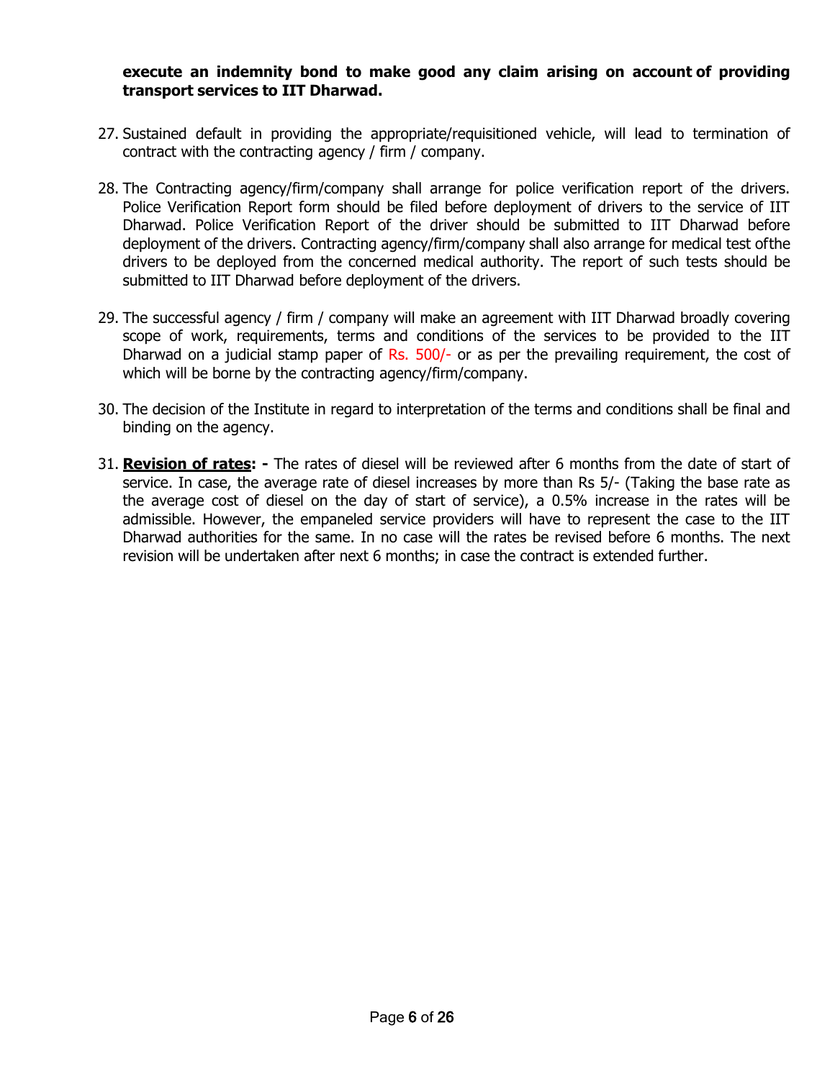#### **execute an indemnity bond to make good any claim arising on account of providing transport services to IIT Dharwad.**

- 27. Sustained default in providing the appropriate/requisitioned vehicle, will lead to termination of contract with the contracting agency / firm / company.
- 28. The Contracting agency/firm/company shall arrange for police verification report of the drivers. Police Verification Report form should be filed before deployment of drivers to the service of IIT Dharwad. Police Verification Report of the driver should be submitted to IIT Dharwad before deployment of the drivers. Contracting agency/firm/company shall also arrange for medical test ofthe drivers to be deployed from the concerned medical authority. The report of such tests should be submitted to IIT Dharwad before deployment of the drivers.
- 29. The successful agency / firm / company will make an agreement with IIT Dharwad broadly covering scope of work, requirements, terms and conditions of the services to be provided to the IIT Dharwad on a judicial stamp paper of Rs. 500/- or as per the prevailing requirement, the cost of which will be borne by the contracting agency/firm/company.
- 30. The decision of the Institute in regard to interpretation of the terms and conditions shall be final and binding on the agency.
- 31. **Revision of rates: -** The rates of diesel will be reviewed after 6 months from the date of start of service. In case, the average rate of diesel increases by more than Rs 5/- (Taking the base rate as the average cost of diesel on the day of start of service), a 0.5% increase in the rates will be admissible. However, the empaneled service providers will have to represent the case to the IIT Dharwad authorities for the same. In no case will the rates be revised before 6 months. The next revision will be undertaken after next 6 months; in case the contract is extended further.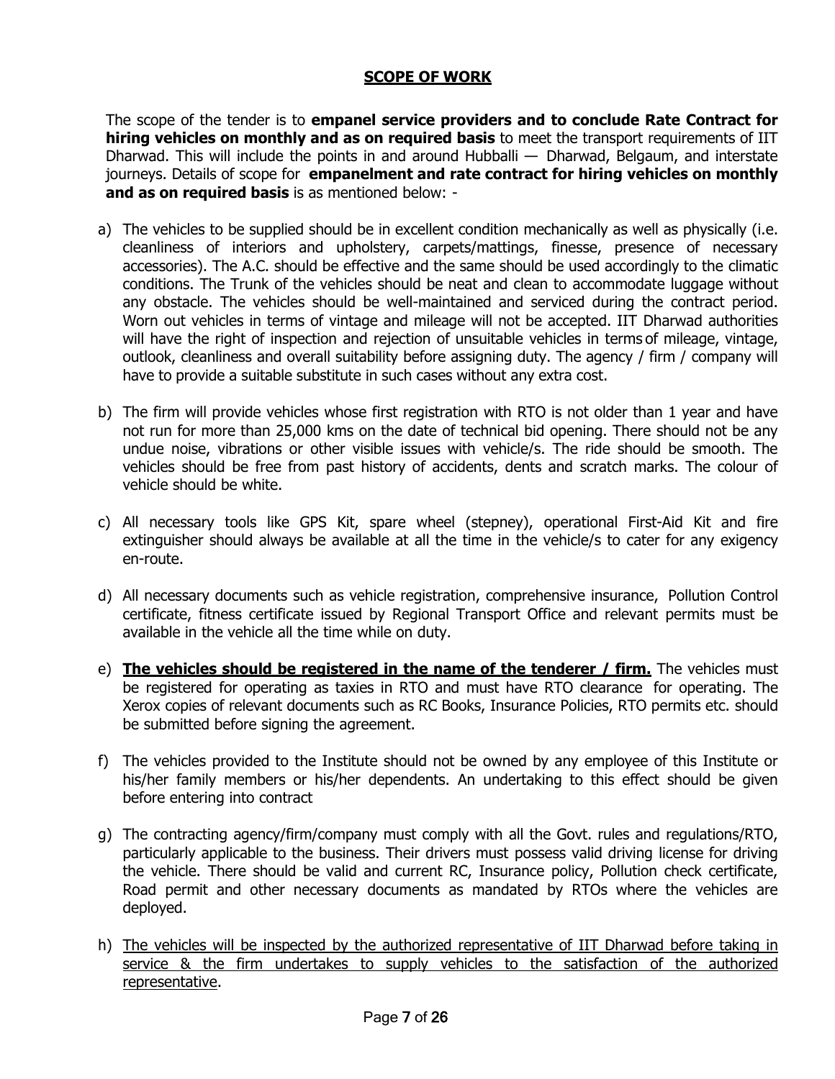## **SCOPE OF WORK**

The scope of the tender is to **empanel service providers and to conclude Rate Contract for hiring vehicles on monthly and as on required basis** to meet the transport requirements of IIT Dharwad. This will include the points in and around Hubballi  $-$  Dharwad, Belgaum, and interstate journeys. Details of scope for **empanelment and rate contract for hiring vehicles on monthly and as on required basis** is as mentioned below: -

- a) The vehicles to be supplied should be in excellent condition mechanically as well as physically (i.e. cleanliness of interiors and upholstery, carpets/mattings, finesse, presence of necessary accessories). The A.C. should be effective and the same should be used accordingly to the climatic conditions. The Trunk of the vehicles should be neat and clean to accommodate luggage without any obstacle. The vehicles should be well-maintained and serviced during the contract period. Worn out vehicles in terms of vintage and mileage will not be accepted. IIT Dharwad authorities will have the right of inspection and rejection of unsuitable vehicles in terms of mileage, vintage, outlook, cleanliness and overall suitability before assigning duty. The agency / firm / company will have to provide a suitable substitute in such cases without any extra cost.
- b) The firm will provide vehicles whose first registration with RTO is not older than 1 year and have not run for more than 25,000 kms on the date of technical bid opening. There should not be any undue noise, vibrations or other visible issues with vehicle/s. The ride should be smooth. The vehicles should be free from past history of accidents, dents and scratch marks. The colour of vehicle should be white.
- c) All necessary tools like GPS Kit, spare wheel (stepney), operational First-Aid Kit and fire extinguisher should always be available at all the time in the vehicle/s to cater for any exigency en-route.
- d) All necessary documents such as vehicle registration, comprehensive insurance, Pollution Control certificate, fitness certificate issued by Regional Transport Office and relevant permits must be available in the vehicle all the time while on duty.
- e) **The vehicles should be registered in the name of the tenderer / firm.** The vehicles must be registered for operating as taxies in RTO and must have RTO clearance for operating. The Xerox copies of relevant documents such as RC Books, Insurance Policies, RTO permits etc. should be submitted before signing the agreement.
- f) The vehicles provided to the Institute should not be owned by any employee of this Institute or his/her family members or his/her dependents. An undertaking to this effect should be given before entering into contract
- g) The contracting agency/firm/company must comply with all the Govt. rules and regulations/RTO, particularly applicable to the business. Their drivers must possess valid driving license for driving the vehicle. There should be valid and current RC, Insurance policy, Pollution check certificate, Road permit and other necessary documents as mandated by RTOs where the vehicles are deployed.
- h) The vehicles will be inspected by the authorized representative of IIT Dharwad before taking in service & the firm undertakes to supply vehicles to the satisfaction of the authorized representative.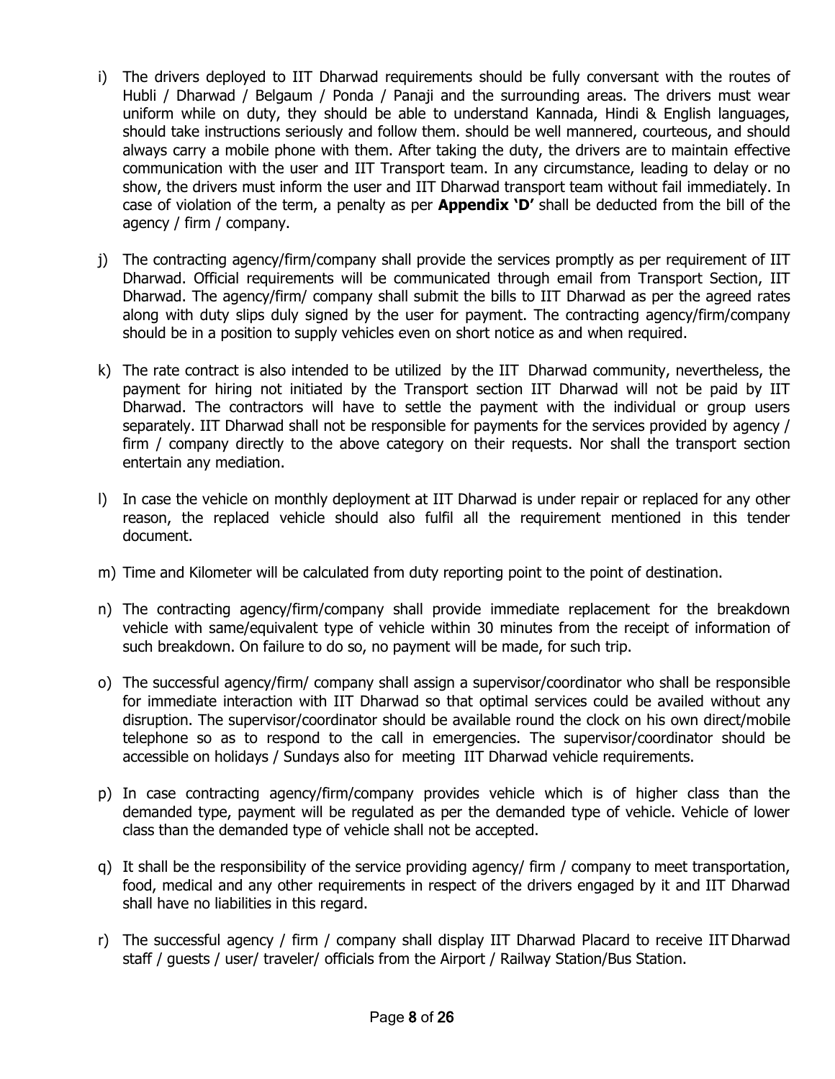- i) The drivers deployed to IIT Dharwad requirements should be fully conversant with the routes of Hubli / Dharwad / Belgaum / Ponda / Panaji and the surrounding areas. The drivers must wear uniform while on duty, they should be able to understand Kannada, Hindi & English languages, should take instructions seriously and follow them. should be well mannered, courteous, and should always carry a mobile phone with them. After taking the duty, the drivers are to maintain effective communication with the user and IIT Transport team. In any circumstance, leading to delay or no show, the drivers must inform the user and IIT Dharwad transport team without fail immediately. In case of violation of the term, a penalty as per **Appendix 'D'** shall be deducted from the bill of the agency / firm / company.
- j) The contracting agency/firm/company shall provide the services promptly as per requirement of IIT Dharwad. Official requirements will be communicated through email from Transport Section, IIT Dharwad. The agency/firm/ company shall submit the bills to IIT Dharwad as per the agreed rates along with duty slips duly signed by the user for payment. The contracting agency/firm/company should be in a position to supply vehicles even on short notice as and when required.
- k) The rate contract is also intended to be utilized by the IIT Dharwad community, nevertheless, the payment for hiring not initiated by the Transport section IIT Dharwad will not be paid by IIT Dharwad. The contractors will have to settle the payment with the individual or group users separately. IIT Dharwad shall not be responsible for payments for the services provided by agency / firm / company directly to the above category on their requests. Nor shall the transport section entertain any mediation.
- l) In case the vehicle on monthly deployment at IIT Dharwad is under repair or replaced for any other reason, the replaced vehicle should also fulfil all the requirement mentioned in this tender document.
- m) Time and Kilometer will be calculated from duty reporting point to the point of destination.
- n) The contracting agency/firm/company shall provide immediate replacement for the breakdown vehicle with same/equivalent type of vehicle within 30 minutes from the receipt of information of such breakdown. On failure to do so, no payment will be made, for such trip.
- o) The successful agency/firm/ company shall assign a supervisor/coordinator who shall be responsible for immediate interaction with IIT Dharwad so that optimal services could be availed without any disruption. The supervisor/coordinator should be available round the clock on his own direct/mobile telephone so as to respond to the call in emergencies. The supervisor/coordinator should be accessible on holidays / Sundays also for meeting IIT Dharwad vehicle requirements.
- p) In case contracting agency/firm/company provides vehicle which is of higher class than the demanded type, payment will be regulated as per the demanded type of vehicle. Vehicle of lower class than the demanded type of vehicle shall not be accepted.
- q) It shall be the responsibility of the service providing agency/ firm / company to meet transportation, food, medical and any other requirements in respect of the drivers engaged by it and IIT Dharwad shall have no liabilities in this regard.
- r) The successful agency / firm / company shall display IIT Dharwad Placard to receive IITDharwad staff / guests / user/ traveler/ officials from the Airport / Railway Station/Bus Station.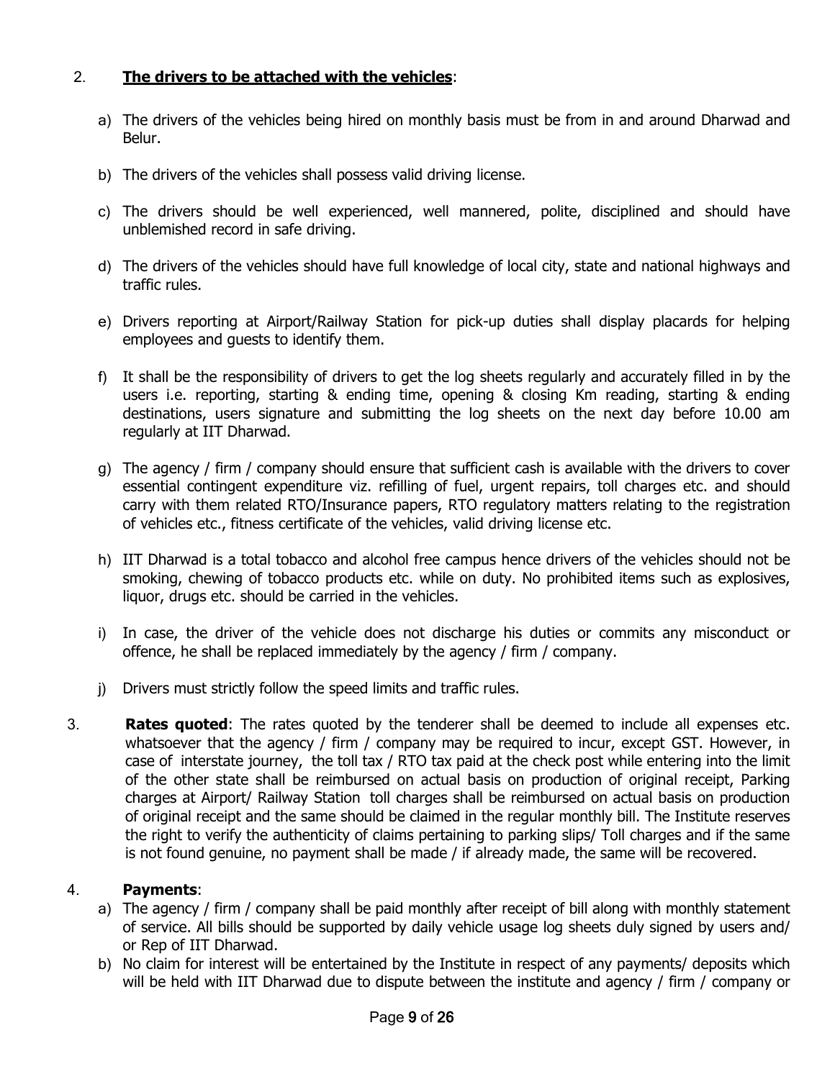## 2. **The drivers to be attached with the vehicles**:

- a) The drivers of the vehicles being hired on monthly basis must be from in and around Dharwad and Belur.
- b) The drivers of the vehicles shall possess valid driving license.
- c) The drivers should be well experienced, well mannered, polite, disciplined and should have unblemished record in safe driving.
- d) The drivers of the vehicles should have full knowledge of local city, state and national highways and traffic rules.
- e) Drivers reporting at Airport/Railway Station for pick-up duties shall display placards for helping employees and guests to identify them.
- f) It shall be the responsibility of drivers to get the log sheets regularly and accurately filled in by the users i.e. reporting, starting & ending time, opening & closing Km reading, starting & ending destinations, users signature and submitting the log sheets on the next day before 10.00 am regularly at IIT Dharwad.
- g) The agency / firm / company should ensure that sufficient cash is available with the drivers to cover essential contingent expenditure viz. refilling of fuel, urgent repairs, toll charges etc. and should carry with them related RTO/Insurance papers, RTO regulatory matters relating to the registration of vehicles etc., fitness certificate of the vehicles, valid driving license etc.
- h) IIT Dharwad is a total tobacco and alcohol free campus hence drivers of the vehicles should not be smoking, chewing of tobacco products etc. while on duty. No prohibited items such as explosives, liquor, drugs etc. should be carried in the vehicles.
- i) In case, the driver of the vehicle does not discharge his duties or commits any misconduct or offence, he shall be replaced immediately by the agency / firm / company.
- j) Drivers must strictly follow the speed limits and traffic rules.
- 3. **Rates quoted**: The rates quoted by the tenderer shall be deemed to include all expenses etc. whatsoever that the agency / firm / company may be required to incur, except GST. However, in case of interstate journey, the toll tax / RTO tax paid at the check post while entering into the limit of the other state shall be reimbursed on actual basis on production of original receipt, Parking charges at Airport/ Railway Station toll charges shall be reimbursed on actual basis on production of original receipt and the same should be claimed in the regular monthly bill. The Institute reserves the right to verify the authenticity of claims pertaining to parking slips/ Toll charges and if the same is not found genuine, no payment shall be made / if already made, the same will be recovered.

#### 4. **Payments**:

- a) The agency / firm / company shall be paid monthly after receipt of bill along with monthly statement of service. All bills should be supported by daily vehicle usage log sheets duly signed by users and/ or Rep of IIT Dharwad.
- b) No claim for interest will be entertained by the Institute in respect of any payments/ deposits which will be held with IIT Dharwad due to dispute between the institute and agency / firm / company or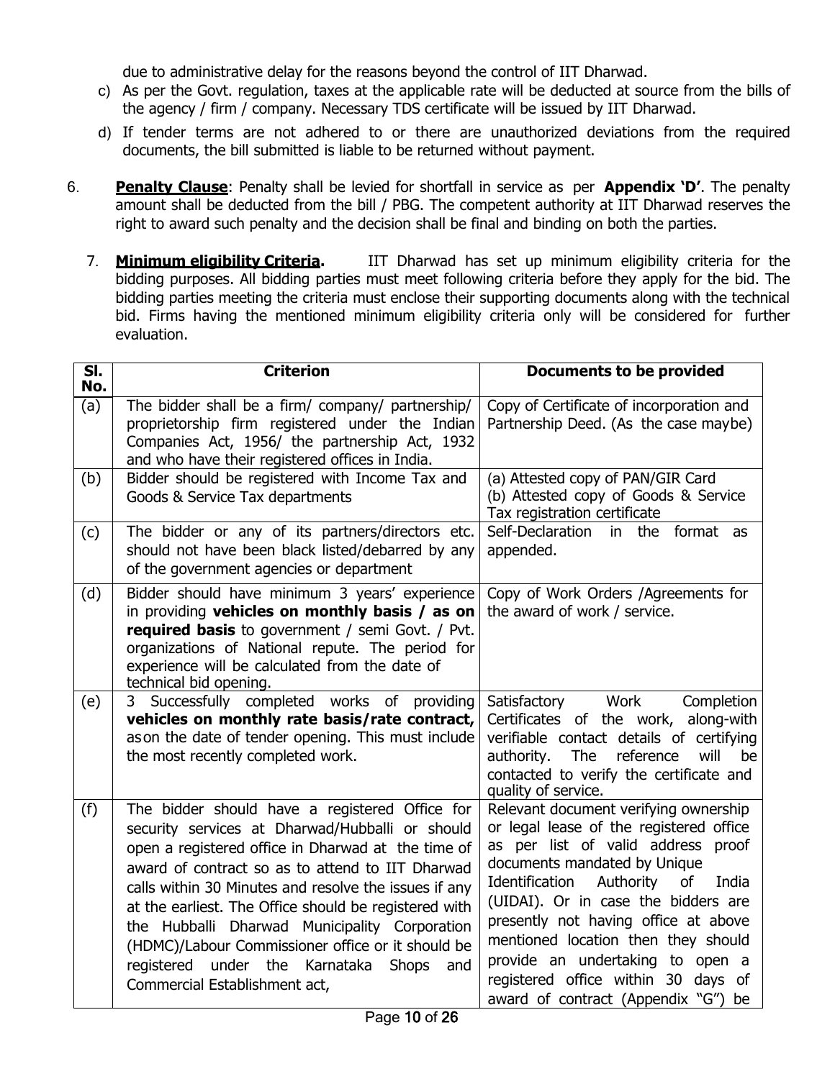due to administrative delay for the reasons beyond the control of IIT Dharwad.

- c) As per the Govt. regulation, taxes at the applicable rate will be deducted at source from the bills of the agency / firm / company. Necessary TDS certificate will be issued by IIT Dharwad.
- d) If tender terms are not adhered to or there are unauthorized deviations from the required documents, the bill submitted is liable to be returned without payment.
- 6. **Penalty Clause**: Penalty shall be levied for shortfall in service as per **Appendix 'D'**. The penalty amount shall be deducted from the bill / PBG. The competent authority at IIT Dharwad reserves the right to award such penalty and the decision shall be final and binding on both the parties.
	- 7. **Minimum eligibility Criteria.** IIT Dharwad has set up minimum eligibility criteria for the bidding purposes. All bidding parties must meet following criteria before they apply for the bid. The bidding parties meeting the criteria must enclose their supporting documents along with the technical bid. Firms having the mentioned minimum eligibility criteria only will be considered for further evaluation.

| $\overline{\mathsf{SI}.}$<br>No. | <b>Criterion</b>                                                                                                                                                                                                                                                                                                                                                                                                                                                                                                                | <b>Documents to be provided</b>                                                                                                                                                                                                                                                                                                                                                                                                              |
|----------------------------------|---------------------------------------------------------------------------------------------------------------------------------------------------------------------------------------------------------------------------------------------------------------------------------------------------------------------------------------------------------------------------------------------------------------------------------------------------------------------------------------------------------------------------------|----------------------------------------------------------------------------------------------------------------------------------------------------------------------------------------------------------------------------------------------------------------------------------------------------------------------------------------------------------------------------------------------------------------------------------------------|
| (a)                              | The bidder shall be a firm/ company/ partnership/<br>proprietorship firm registered under the Indian<br>Companies Act, 1956/ the partnership Act, 1932<br>and who have their registered offices in India.                                                                                                                                                                                                                                                                                                                       | Copy of Certificate of incorporation and<br>Partnership Deed. (As the case maybe)                                                                                                                                                                                                                                                                                                                                                            |
| (b)                              | Bidder should be registered with Income Tax and<br>Goods & Service Tax departments                                                                                                                                                                                                                                                                                                                                                                                                                                              | (a) Attested copy of PAN/GIR Card<br>(b) Attested copy of Goods & Service<br>Tax registration certificate                                                                                                                                                                                                                                                                                                                                    |
| (c)                              | The bidder or any of its partners/directors etc.<br>should not have been black listed/debarred by any<br>of the government agencies or department                                                                                                                                                                                                                                                                                                                                                                               | Self-Declaration<br>in the format as<br>appended.                                                                                                                                                                                                                                                                                                                                                                                            |
| (d)                              | Bidder should have minimum 3 years' experience<br>in providing vehicles on monthly basis / as on<br>required basis to government / semi Govt. / Pvt.<br>organizations of National repute. The period for<br>experience will be calculated from the date of<br>technical bid opening.                                                                                                                                                                                                                                            | Copy of Work Orders /Agreements for<br>the award of work / service.                                                                                                                                                                                                                                                                                                                                                                          |
| (e)                              | Successfully completed works of providing<br>3<br>vehicles on monthly rate basis/rate contract,<br>as on the date of tender opening. This must include<br>the most recently completed work.                                                                                                                                                                                                                                                                                                                                     | Work<br>Satisfactory<br>Completion<br>Certificates of the work, along-with<br>verifiable contact details of certifying<br>reference<br>authority.<br><b>The</b><br>will<br>be<br>contacted to verify the certificate and<br>quality of service.                                                                                                                                                                                              |
| (f)                              | The bidder should have a registered Office for<br>security services at Dharwad/Hubballi or should<br>open a registered office in Dharwad at the time of<br>award of contract so as to attend to IIT Dharwad<br>calls within 30 Minutes and resolve the issues if any<br>at the earliest. The Office should be registered with<br>the Hubballi Dharwad Municipality Corporation<br>(HDMC)/Labour Commissioner office or it should be<br>registered<br>under<br>the<br>Karnataka<br>Shops<br>and<br>Commercial Establishment act, | Relevant document verifying ownership<br>or legal lease of the registered office<br>as per list of valid address proof<br>documents mandated by Unique<br>Identification<br>Authority<br>of<br>India<br>(UIDAI). Or in case the bidders are<br>presently not having office at above<br>mentioned location then they should<br>provide an undertaking to open a<br>registered office within 30 days of<br>award of contract (Appendix "G") be |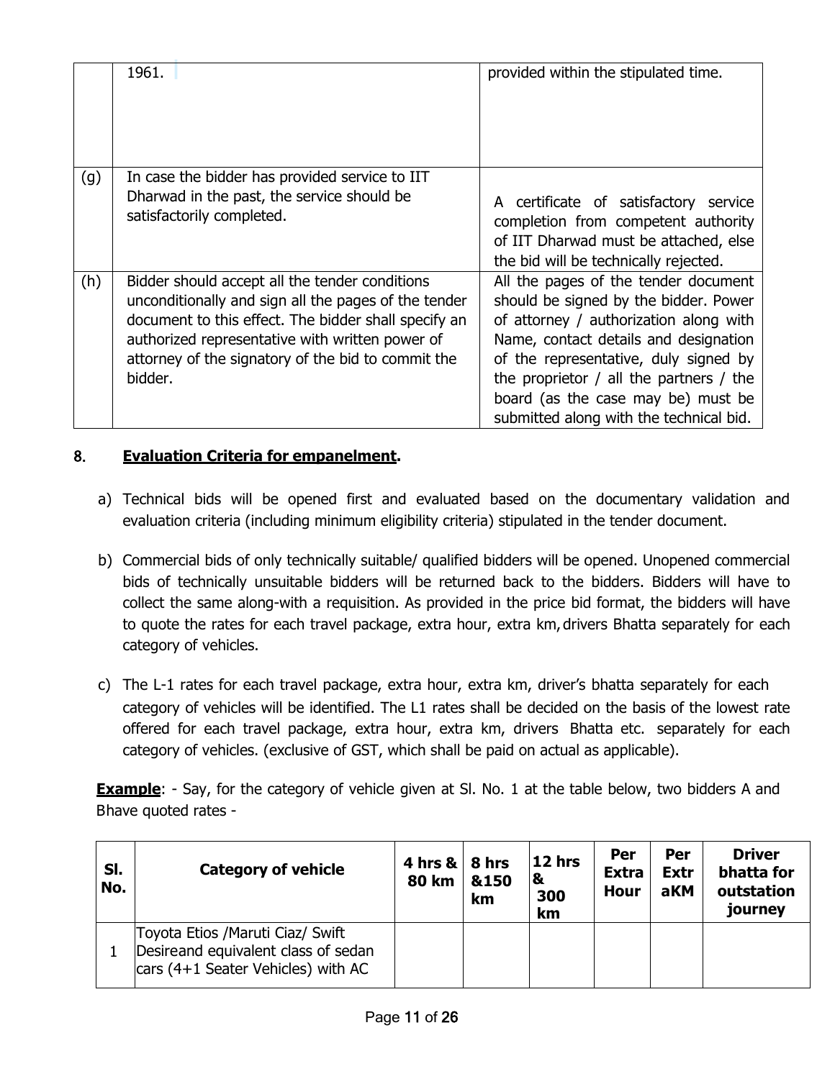|     | 1961.                                                                                                                                                                                                                                                                              | provided within the stipulated time.                                                                                                                                                                                                                                                                                                      |
|-----|------------------------------------------------------------------------------------------------------------------------------------------------------------------------------------------------------------------------------------------------------------------------------------|-------------------------------------------------------------------------------------------------------------------------------------------------------------------------------------------------------------------------------------------------------------------------------------------------------------------------------------------|
| (g) | In case the bidder has provided service to IIT<br>Dharwad in the past, the service should be<br>satisfactorily completed.                                                                                                                                                          | A certificate of satisfactory service<br>completion from competent authority<br>of IIT Dharwad must be attached, else<br>the bid will be technically rejected.                                                                                                                                                                            |
| (h) | Bidder should accept all the tender conditions<br>unconditionally and sign all the pages of the tender<br>document to this effect. The bidder shall specify an<br>authorized representative with written power of<br>attorney of the signatory of the bid to commit the<br>bidder. | All the pages of the tender document<br>should be signed by the bidder. Power<br>of attorney / authorization along with<br>Name, contact details and designation<br>of the representative, duly signed by<br>the proprietor $/$ all the partners $/$ the<br>board (as the case may be) must be<br>submitted along with the technical bid. |

## 8. **Evaluation Criteria for empanelment.**

- a) Technical bids will be opened first and evaluated based on the documentary validation and evaluation criteria (including minimum eligibility criteria) stipulated in the tender document.
- b) Commercial bids of only technically suitable/ qualified bidders will be opened. Unopened commercial bids of technically unsuitable bidders will be returned back to the bidders. Bidders will have to collect the same along-with a requisition. As provided in the price bid format, the bidders will have to quote the rates for each travel package, extra hour, extra km,drivers Bhatta separately for each category of vehicles.
- c) The L-1 rates for each travel package, extra hour, extra km, driver's bhatta separately for each category of vehicles will be identified. The L1 rates shall be decided on the basis of the lowest rate offered for each travel package, extra hour, extra km, drivers Bhatta etc. separately for each category of vehicles. (exclusive of GST, which shall be paid on actual as applicable).

**Example**: - Say, for the category of vehicle given at SI. No. 1 at the table below, two bidders A and Bhave quoted rates -

| SI.<br>No. | <b>Category of vehicle</b>                                                                                             | 4 hrs $\&$   8 hrs<br><b>80 km</b> | &150<br>km | $12$ hrs<br>1&<br>300<br>km | Per<br><b>Extra</b><br><b>Hour</b> | Per<br><b>Extr</b><br>aKM | <b>Driver</b><br>bhatta for<br>outstation<br>journey |
|------------|------------------------------------------------------------------------------------------------------------------------|------------------------------------|------------|-----------------------------|------------------------------------|---------------------------|------------------------------------------------------|
|            | Toyota Etios / Maruti Ciaz/ Swift<br>Desireand equivalent class of sedan<br>$\vert$ cars (4+1 Seater Vehicles) with AC |                                    |            |                             |                                    |                           |                                                      |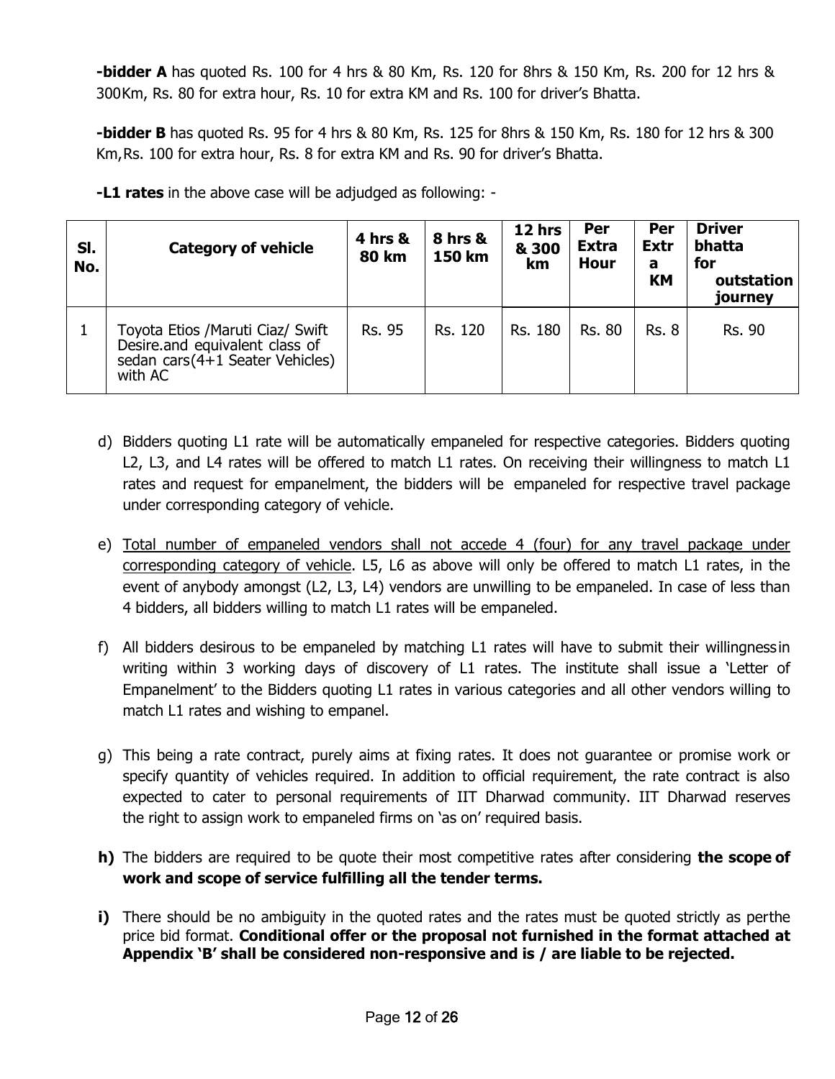**-bidder A** has quoted Rs. 100 for 4 hrs & 80 Km, Rs. 120 for 8hrs & 150 Km, Rs. 200 for 12 hrs & 300Km, Rs. 80 for extra hour, Rs. 10 for extra KM and Rs. 100 for driver's Bhatta.

**-bidder B** has quoted Rs. 95 for 4 hrs & 80 Km, Rs. 125 for 8hrs & 150 Km, Rs. 180 for 12 hrs & 300 Km,Rs. 100 for extra hour, Rs. 8 for extra KM and Rs. 90 for driver's Bhatta.

| SI.<br>No. | <b>Category of vehicle</b>                                                                                         | 4 hrs &<br><b>80 km</b> | <b>8 hrs &amp;</b><br>150 km | 12 hrs<br>& 300<br>km | Per<br><b>Extra</b><br><b>Hour</b> | Per<br><b>Extr</b><br>a<br>KM | <b>Driver</b><br>bhatta<br>for<br>outstation<br>journey |
|------------|--------------------------------------------------------------------------------------------------------------------|-------------------------|------------------------------|-----------------------|------------------------------------|-------------------------------|---------------------------------------------------------|
|            | Toyota Etios / Maruti Ciaz/ Swift<br>Desire and equivalent class of<br>sedan cars (4+1 Seater Vehicles)<br>with AC | Rs. 95                  | Rs. 120                      | Rs. 180               | <b>Rs. 80</b>                      | <b>Rs. 8</b>                  | <b>Rs. 90</b>                                           |

**-L1 rates** in the above case will be adjudged as following: -

- d) Bidders quoting L1 rate will be automatically empaneled for respective categories. Bidders quoting L2, L3, and L4 rates will be offered to match L1 rates. On receiving their willingness to match L1 rates and request for empanelment, the bidders will be empaneled for respective travel package under corresponding category of vehicle.
- e) Total number of empaneled vendors shall not accede 4 (four) for any travel package under corresponding category of vehicle. L5, L6 as above will only be offered to match L1 rates, in the event of anybody amongst (L2, L3, L4) vendors are unwilling to be empaneled. In case of less than 4 bidders, all bidders willing to match L1 rates will be empaneled.
- f) All bidders desirous to be empaneled by matching L1 rates will have to submit their willingnessin writing within 3 working days of discovery of L1 rates. The institute shall issue a 'Letter of Empanelment' to the Bidders quoting L1 rates in various categories and all other vendors willing to match L1 rates and wishing to empanel.
- g) This being a rate contract, purely aims at fixing rates. It does not guarantee or promise work or specify quantity of vehicles required. In addition to official requirement, the rate contract is also expected to cater to personal requirements of IIT Dharwad community. IIT Dharwad reserves the right to assign work to empaneled firms on 'as on' required basis.
- **h)** The bidders are required to be quote their most competitive rates after considering **the scope of work and scope of service fulfilling all the tender terms.**
- **i)** There should be no ambiguity in the quoted rates and the rates must be quoted strictly as perthe price bid format. **Conditional offer or the proposal not furnished in the format attached at Appendix 'B' shall be considered non-responsive and is / are liable to be rejected.**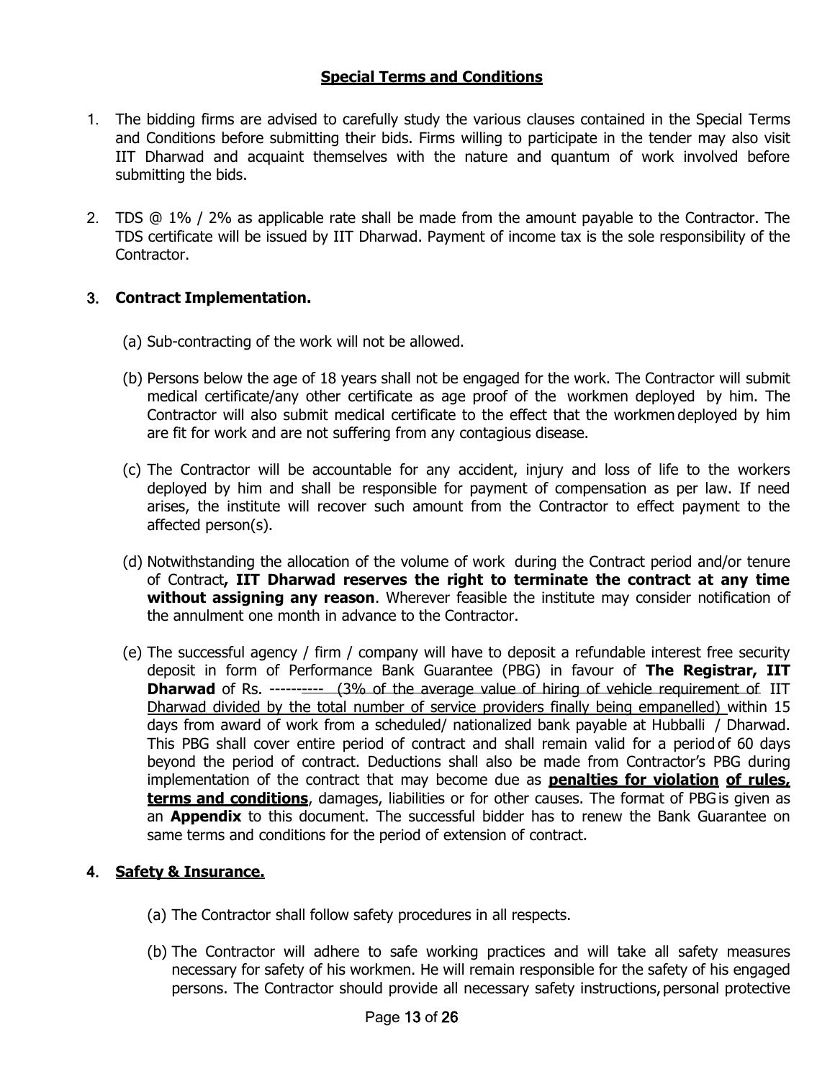#### **Special Terms and Conditions**

- 1. The bidding firms are advised to carefully study the various clauses contained in the Special Terms and Conditions before submitting their bids. Firms willing to participate in the tender may also visit IIT Dharwad and acquaint themselves with the nature and quantum of work involved before submitting the bids.
- 2. TDS @ 1% / 2% as applicable rate shall be made from the amount payable to the Contractor. The TDS certificate will be issued by IIT Dharwad. Payment of income tax is the sole responsibility of the Contractor.

#### 3. **Contract Implementation.**

- (a) Sub-contracting of the work will not be allowed.
- (b) Persons below the age of 18 years shall not be engaged for the work. The Contractor will submit medical certificate/any other certificate as age proof of the workmen deployed by him. The Contractor will also submit medical certificate to the effect that the workmen deployed by him are fit for work and are not suffering from any contagious disease.
- (c) The Contractor will be accountable for any accident, injury and loss of life to the workers deployed by him and shall be responsible for payment of compensation as per law. If need arises, the institute will recover such amount from the Contractor to effect payment to the affected person(s).
- (d) Notwithstanding the allocation of the volume of work during the Contract period and/or tenure of Contract**, IIT Dharwad reserves the right to terminate the contract at any time without assigning any reason**. Wherever feasible the institute may consider notification of the annulment one month in advance to the Contractor.
- (e) The successful agency / firm / company will have to deposit a refundable interest free security deposit in form of Performance Bank Guarantee (PBG) in favour of **The Registrar, IIT Dharwad** of Rs. --------- (3% of the average value of hiring of vehicle requirement of IIT Dharwad divided by the total number of service providers finally being empanelled) within 15 days from award of work from a scheduled/ nationalized bank payable at Hubballi / Dharwad. This PBG shall cover entire period of contract and shall remain valid for a period of 60 days beyond the period of contract. Deductions shall also be made from Contractor's PBG during implementation of the contract that may become due as **penalties for violation of rules, terms and conditions**, damages, liabilities or for other causes. The format of PBG is given as an **Appendix** to this document. The successful bidder has to renew the Bank Guarantee on same terms and conditions for the period of extension of contract.

#### 4. **Safety & Insurance.**

- (a) The Contractor shall follow safety procedures in all respects.
- (b) The Contractor will adhere to safe working practices and will take all safety measures necessary for safety of his workmen. He will remain responsible for the safety of his engaged persons. The Contractor should provide all necessary safety instructions, personal protective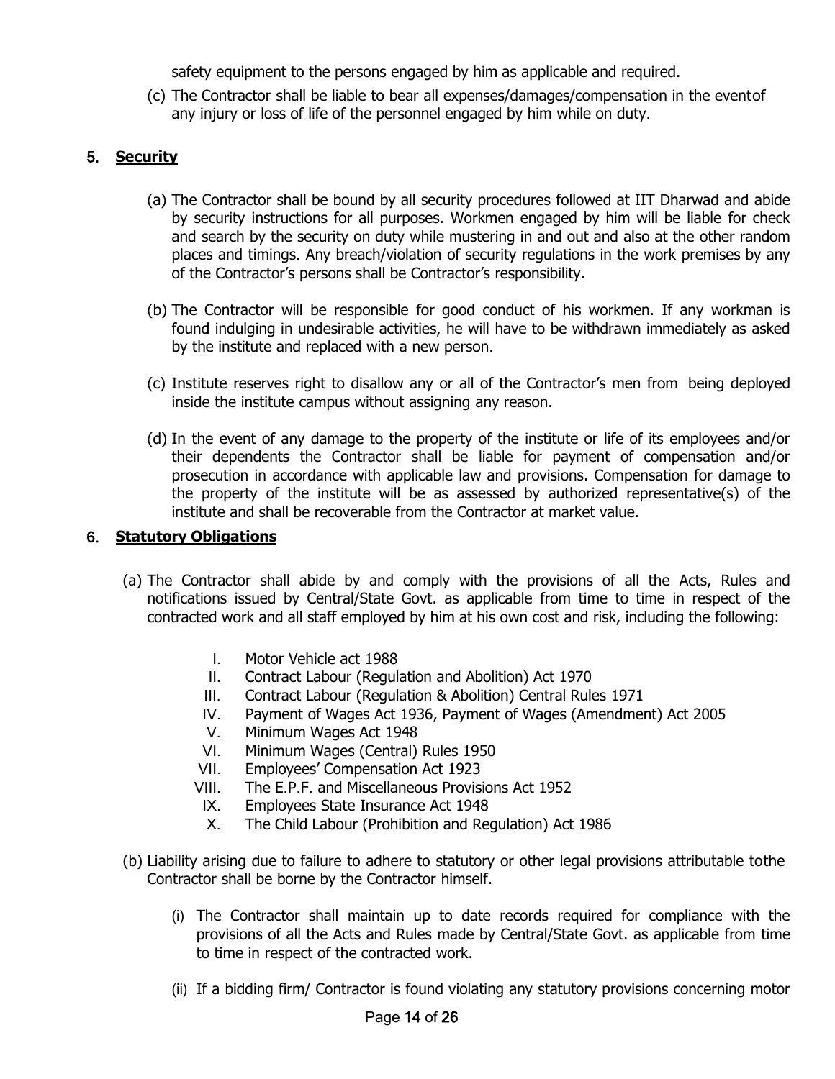safety equipment to the persons engaged by him as applicable and required.

(c) The Contractor shall be liable to bear all expenses/damages/compensation in the eventof any injury or loss of life of the personnel engaged by him while on duty.

# 5. **Security**

- (a) The Contractor shall be bound by all security procedures followed at IIT Dharwad and abide by security instructions for all purposes. Workmen engaged by him will be liable for check and search by the security on duty while mustering in and out and also at the other random places and timings. Any breach/violation of security regulations in the work premises by any of the Contractor's persons shall be Contractor's responsibility.
- (b) The Contractor will be responsible for good conduct of his workmen. If any workman is found indulging in undesirable activities, he will have to be withdrawn immediately as asked by the institute and replaced with a new person.
- (c) Institute reserves right to disallow any or all of the Contractor's men from being deployed inside the institute campus without assigning any reason.
- (d) In the event of any damage to the property of the institute or life of its employees and/or their dependents the Contractor shall be liable for payment of compensation and/or prosecution in accordance with applicable law and provisions. Compensation for damage to the property of the institute will be as assessed by authorized representative(s) of the institute and shall be recoverable from the Contractor at market value.

## 6. **Statutory Obligations**

- (a) The Contractor shall abide by and comply with the provisions of all the Acts, Rules and notifications issued by Central/State Govt. as applicable from time to time in respect of the contracted work and all staff employed by him at his own cost and risk, including the following:
	- I. Motor Vehicle act 1988
	- II. Contract Labour (Regulation and Abolition) Act 1970
	- III. Contract Labour (Regulation & Abolition) Central Rules 1971
	- IV. Payment of Wages Act 1936, Payment of Wages (Amendment) Act 2005
	- V. Minimum Wages Act 1948
	- VI. Minimum Wages (Central) Rules 1950
	- VII. Employees' Compensation Act 1923
	- VIII. The E.P.F. and Miscellaneous Provisions Act 1952
	- IX. Employees State Insurance Act 1948
	- X. The Child Labour (Prohibition and Regulation) Act 1986
- (b) Liability arising due to failure to adhere to statutory or other legal provisions attributable tothe Contractor shall be borne by the Contractor himself.
	- (i) The Contractor shall maintain up to date records required for compliance with the provisions of all the Acts and Rules made by Central/State Govt. as applicable from time to time in respect of the contracted work.
	- (ii) If a bidding firm/ Contractor is found violating any statutory provisions concerning motor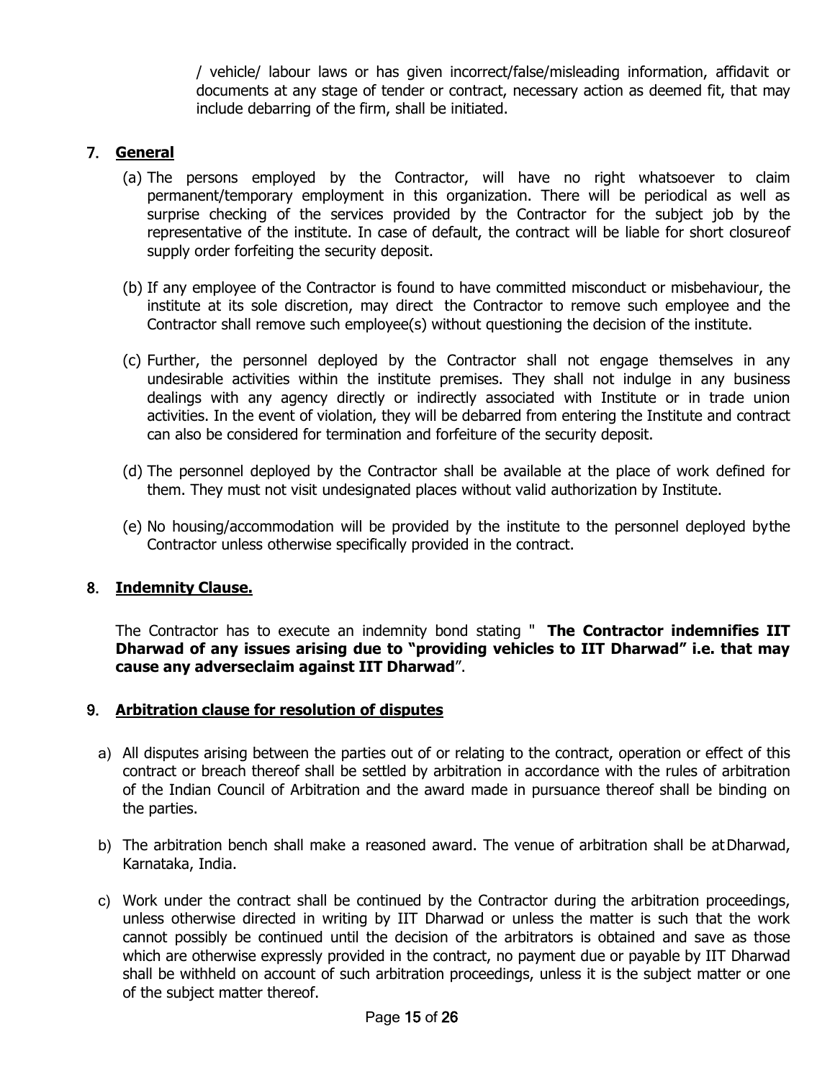/ vehicle/ labour laws or has given incorrect/false/misleading information, affidavit or documents at any stage of tender or contract, necessary action as deemed fit, that may include debarring of the firm, shall be initiated.

# 7. **General**

- (a) The persons employed by the Contractor, will have no right whatsoever to claim permanent/temporary employment in this organization. There will be periodical as well as surprise checking of the services provided by the Contractor for the subject job by the representative of the institute. In case of default, the contract will be liable for short closureof supply order forfeiting the security deposit.
- (b) If any employee of the Contractor is found to have committed misconduct or misbehaviour, the institute at its sole discretion, may direct the Contractor to remove such employee and the Contractor shall remove such employee(s) without questioning the decision of the institute.
- (c) Further, the personnel deployed by the Contractor shall not engage themselves in any undesirable activities within the institute premises. They shall not indulge in any business dealings with any agency directly or indirectly associated with Institute or in trade union activities. In the event of violation, they will be debarred from entering the Institute and contract can also be considered for termination and forfeiture of the security deposit.
- (d) The personnel deployed by the Contractor shall be available at the place of work defined for them. They must not visit undesignated places without valid authorization by Institute.
- (e) No housing/accommodation will be provided by the institute to the personnel deployed bythe Contractor unless otherwise specifically provided in the contract.

# 8. **Indemnity Clause.**

The Contractor has to execute an indemnity bond stating " **The Contractor indemnifies IIT Dharwad of any issues arising due to "providing vehicles to IIT Dharwad" i.e. that may cause any adverseclaim against IIT Dharwad**".

#### 9. **Arbitration clause for resolution of disputes**

- a) All disputes arising between the parties out of or relating to the contract, operation or effect of this contract or breach thereof shall be settled by arbitration in accordance with the rules of arbitration of the Indian Council of Arbitration and the award made in pursuance thereof shall be binding on the parties.
- b) The arbitration bench shall make a reasoned award. The venue of arbitration shall be at Dharwad, Karnataka, India.
- c) Work under the contract shall be continued by the Contractor during the arbitration proceedings, unless otherwise directed in writing by IIT Dharwad or unless the matter is such that the work cannot possibly be continued until the decision of the arbitrators is obtained and save as those which are otherwise expressly provided in the contract, no payment due or payable by IIT Dharwad shall be withheld on account of such arbitration proceedings, unless it is the subject matter or one of the subject matter thereof.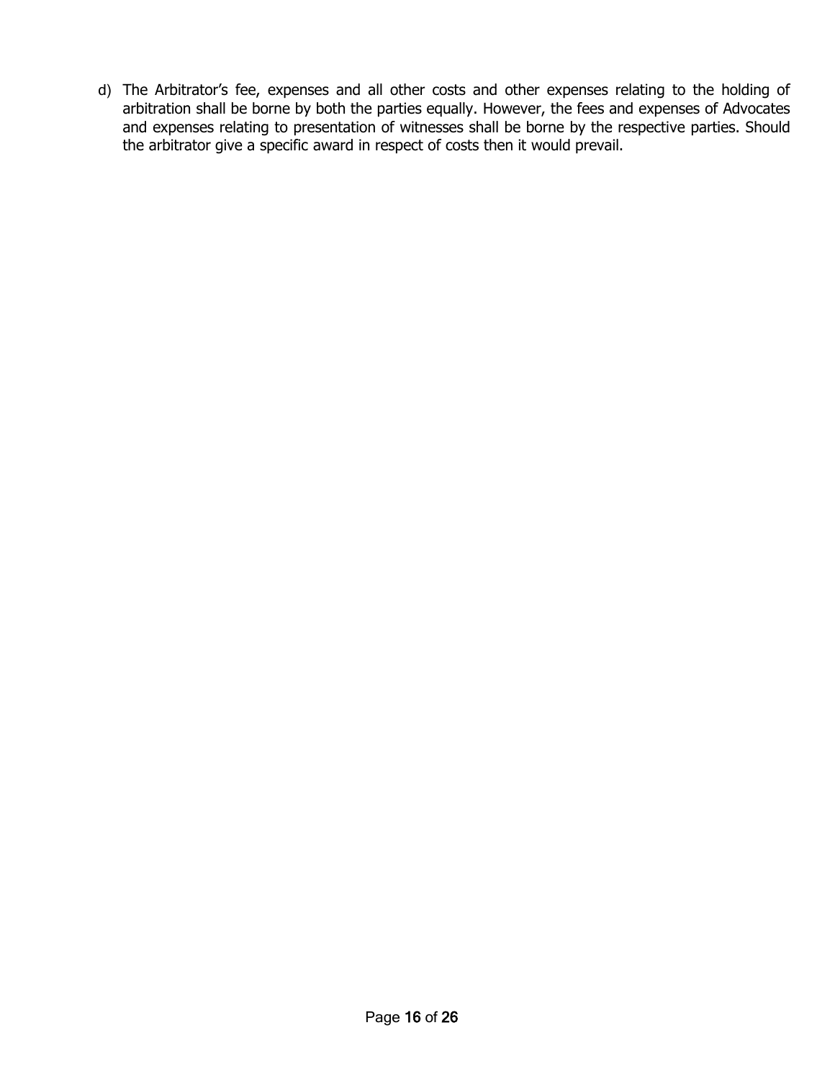d) The Arbitrator's fee, expenses and all other costs and other expenses relating to the holding of arbitration shall be borne by both the parties equally. However, the fees and expenses of Advocates and expenses relating to presentation of witnesses shall be borne by the respective parties. Should the arbitrator give a specific award in respect of costs then it would prevail.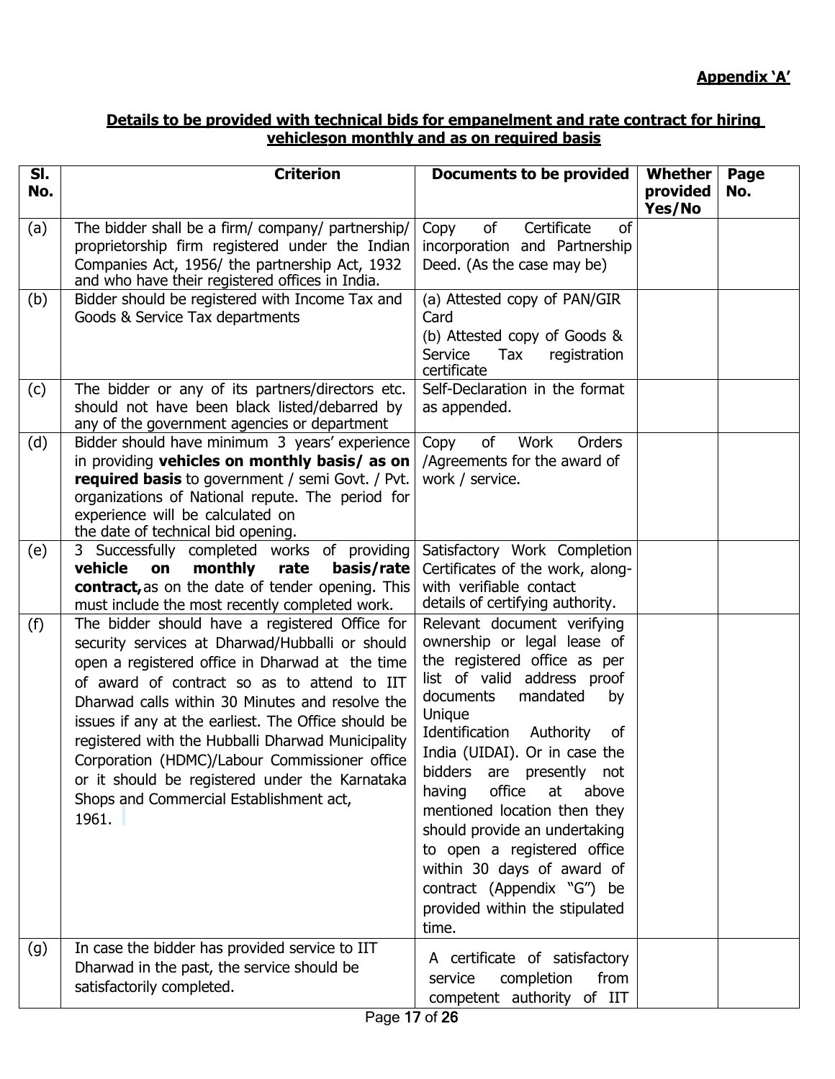## **Details to be provided with technical bids for empanelment and rate contract for hiring vehicleson monthly and as on required basis**

| SI. | <b>Criterion</b>                                                                                                                                                                                                                                                                                                                                                                                                                                                                                                          | <b>Documents to be provided</b>                                                                                                                                                                                                                                                                                                                                                                                                                                                                                    | <b>Whether</b>     | Page |
|-----|---------------------------------------------------------------------------------------------------------------------------------------------------------------------------------------------------------------------------------------------------------------------------------------------------------------------------------------------------------------------------------------------------------------------------------------------------------------------------------------------------------------------------|--------------------------------------------------------------------------------------------------------------------------------------------------------------------------------------------------------------------------------------------------------------------------------------------------------------------------------------------------------------------------------------------------------------------------------------------------------------------------------------------------------------------|--------------------|------|
| No. |                                                                                                                                                                                                                                                                                                                                                                                                                                                                                                                           |                                                                                                                                                                                                                                                                                                                                                                                                                                                                                                                    | provided<br>Yes/No | No.  |
| (a) | The bidder shall be a firm/ company/ partnership/<br>proprietorship firm registered under the Indian<br>Companies Act, 1956/ the partnership Act, 1932<br>and who have their registered offices in India.                                                                                                                                                                                                                                                                                                                 | of<br>Certificate<br>of<br>Copy<br>incorporation and Partnership<br>Deed. (As the case may be)                                                                                                                                                                                                                                                                                                                                                                                                                     |                    |      |
| (b) | Bidder should be registered with Income Tax and<br>Goods & Service Tax departments                                                                                                                                                                                                                                                                                                                                                                                                                                        | (a) Attested copy of PAN/GIR<br>Card<br>(b) Attested copy of Goods &<br>Service<br>registration<br>Tax<br>certificate                                                                                                                                                                                                                                                                                                                                                                                              |                    |      |
| (c) | The bidder or any of its partners/directors etc.<br>should not have been black listed/debarred by<br>any of the government agencies or department                                                                                                                                                                                                                                                                                                                                                                         | Self-Declaration in the format<br>as appended.                                                                                                                                                                                                                                                                                                                                                                                                                                                                     |                    |      |
| (d) | Bidder should have minimum 3 years' experience<br>in providing vehicles on monthly basis/ as on<br><b>required basis</b> to government / semi Govt. / Pvt.<br>organizations of National repute. The period for<br>experience will be calculated on<br>the date of technical bid opening.                                                                                                                                                                                                                                  | Orders<br>Copy<br>of<br>Work<br>/Agreements for the award of<br>work / service.                                                                                                                                                                                                                                                                                                                                                                                                                                    |                    |      |
| (e) | 3 Successfully completed works of providing<br>vehicle<br>monthly<br>on<br>rate<br>basis/rate<br>contract, as on the date of tender opening. This<br>must include the most recently completed work.                                                                                                                                                                                                                                                                                                                       | Satisfactory Work Completion<br>Certificates of the work, along-<br>with verifiable contact<br>details of certifying authority.                                                                                                                                                                                                                                                                                                                                                                                    |                    |      |
| (f) | The bidder should have a registered Office for<br>security services at Dharwad/Hubballi or should<br>open a registered office in Dharwad at the time<br>of award of contract so as to attend to IIT<br>Dharwad calls within 30 Minutes and resolve the<br>issues if any at the earliest. The Office should be<br>registered with the Hubballi Dharwad Municipality<br>Corporation (HDMC)/Labour Commissioner office<br>or it should be registered under the Karnataka<br>Shops and Commercial Establishment act,<br>1961. | Relevant document verifying<br>ownership or legal lease of<br>the registered office as per<br>list of valid address proof<br>mandated<br>documents<br>by<br>Unique<br>Identification<br>Authority<br>0f<br>India (UIDAI). Or in case the<br>bidders<br>are presently not<br>office<br>having<br>at<br>above<br>mentioned location then they<br>should provide an undertaking<br>to open a registered office<br>within 30 days of award of<br>contract (Appendix "G") be<br>provided within the stipulated<br>time. |                    |      |
| (g) | In case the bidder has provided service to IIT<br>Dharwad in the past, the service should be<br>satisfactorily completed.                                                                                                                                                                                                                                                                                                                                                                                                 | A certificate of satisfactory<br>completion<br>from<br>service<br>competent authority of IIT                                                                                                                                                                                                                                                                                                                                                                                                                       |                    |      |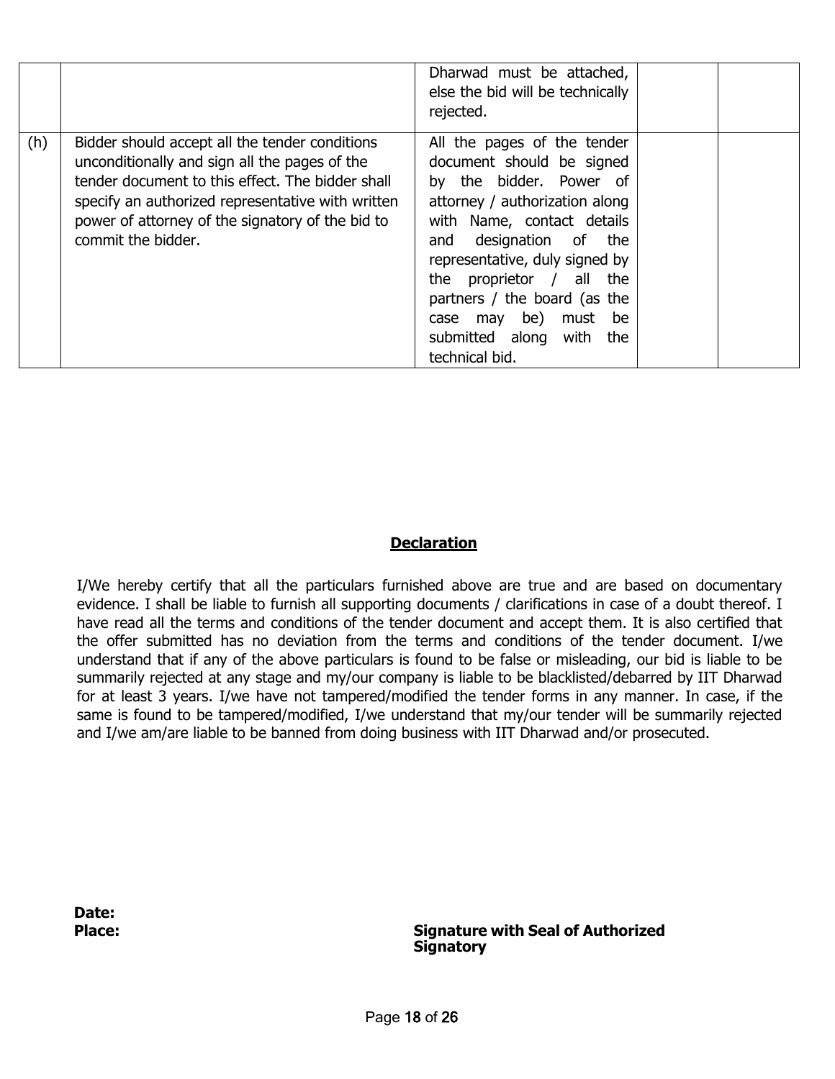|     |                                                                                                                                                                                                                                                                                    | Dharwad must be attached,<br>else the bid will be technically<br>rejected.                                                                                                                                                                                                                                                                                         |  |
|-----|------------------------------------------------------------------------------------------------------------------------------------------------------------------------------------------------------------------------------------------------------------------------------------|--------------------------------------------------------------------------------------------------------------------------------------------------------------------------------------------------------------------------------------------------------------------------------------------------------------------------------------------------------------------|--|
| (h) | Bidder should accept all the tender conditions<br>unconditionally and sign all the pages of the<br>tender document to this effect. The bidder shall<br>specify an authorized representative with written<br>power of attorney of the signatory of the bid to<br>commit the bidder. | All the pages of the tender<br>document should be signed<br>by the bidder. Power of<br>attorney / authorization along<br>with Name, contact details<br>designation of the<br>and<br>representative, duly signed by<br>the proprietor $/$ all the<br>partners / the board (as the<br>may be) must<br>be<br>case<br>submitted along<br>with<br>the<br>technical bid. |  |

## **Declaration**

I/We hereby certify that all the particulars furnished above are true and are based on documentary evidence. I shall be liable to furnish all supporting documents / clarifications in case of a doubt thereof. I have read all the terms and conditions of the tender document and accept them. It is also certified that the offer submitted has no deviation from the terms and conditions of the tender document. I/we understand that if any of the above particulars is found to be false or misleading, our bid is liable to be summarily rejected at any stage and my/our company is liable to be blacklisted/debarred by IIT Dharwad for at least 3 years. I/we have not tampered/modified the tender forms in any manner. In case, if the same is found to be tampered/modified, I/we understand that my/our tender will be summarily rejected and I/we am/are liable to be banned from doing business with IIT Dharwad and/or prosecuted.

**Date:**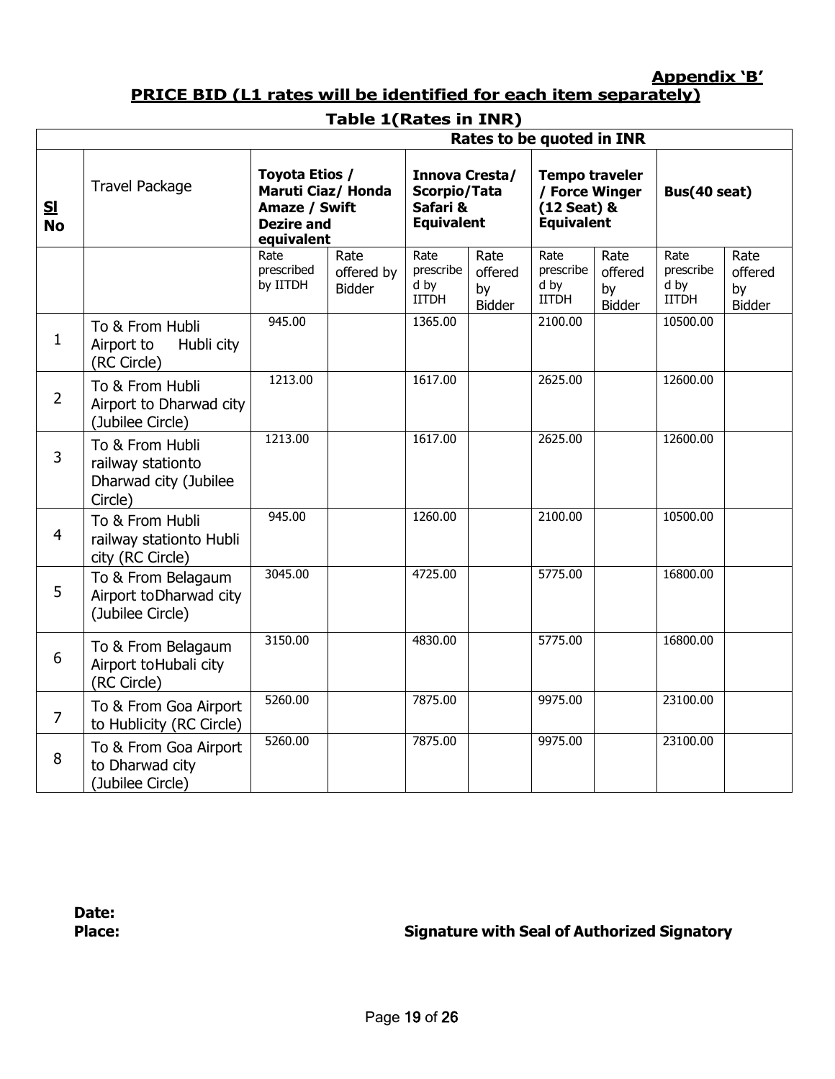**Appendix 'B'**

# **PRICE BID (L1 rates will be identified for each item separately)**

# **Table 1(Rates in INR)**

| Rates to be quoted in INR |                                                                          |                                                                                          |                                     |                                                                 |                                        |                                                                             |                                 |                                           |                                        |
|---------------------------|--------------------------------------------------------------------------|------------------------------------------------------------------------------------------|-------------------------------------|-----------------------------------------------------------------|----------------------------------------|-----------------------------------------------------------------------------|---------------------------------|-------------------------------------------|----------------------------------------|
| <u>sı</u><br><b>No</b>    | <b>Travel Package</b>                                                    | Toyota Etios /<br>Maruti Ciaz/ Honda<br>Amaze / Swift<br><b>Dezire and</b><br>equivalent |                                     | Innova Cresta/<br>Scorpio/Tata<br>Safari &<br><b>Equivalent</b> |                                        | <b>Tempo traveler</b><br>/ Force Winger<br>(12 Seat) &<br><b>Equivalent</b> |                                 | Bus(40 seat)                              |                                        |
|                           |                                                                          | Rate<br>prescribed<br>by IITDH                                                           | Rate<br>offered by<br><b>Bidder</b> | Rate<br>prescribe<br>d by<br><b>IITDH</b>                       | Rate<br>offered<br>by<br><b>Bidder</b> | Rate<br>prescribe<br>d by<br><b>IITDH</b>                                   | Rate<br>offered<br>by<br>Bidder | Rate<br>prescribe<br>d by<br><b>IITDH</b> | Rate<br>offered<br>by<br><b>Bidder</b> |
| 1                         | To & From Hubli<br>Airport to<br>Hubli city<br>(RC Circle)               | 945.00                                                                                   |                                     | 1365.00                                                         |                                        | 2100.00                                                                     |                                 | 10500.00                                  |                                        |
| $\overline{2}$            | To & From Hubli<br>Airport to Dharwad city<br>(Jubilee Circle)           | 1213.00                                                                                  |                                     | 1617.00                                                         |                                        | 2625.00                                                                     |                                 | 12600.00                                  |                                        |
| 3                         | To & From Hubli<br>railway stationto<br>Dharwad city (Jubilee<br>Circle) | 1213.00                                                                                  |                                     | 1617.00                                                         |                                        | 2625.00                                                                     |                                 | 12600.00                                  |                                        |
| $\overline{4}$            | To & From Hubli<br>railway stationto Hubli<br>city (RC Circle)           | 945.00                                                                                   |                                     | 1260.00                                                         |                                        | 2100.00                                                                     |                                 | 10500.00                                  |                                        |
| 5                         | To & From Belagaum<br>Airport to Dharwad city<br>(Jubilee Circle)        | 3045.00                                                                                  |                                     | 4725.00                                                         |                                        | 5775.00                                                                     |                                 | 16800.00                                  |                                        |
| 6                         | To & From Belagaum<br>Airport toHubali city<br>(RC Circle)               | 3150.00                                                                                  |                                     | 4830.00                                                         |                                        | 5775.00                                                                     |                                 | 16800.00                                  |                                        |
| $\overline{7}$            | To & From Goa Airport<br>to Hublicity (RC Circle)                        | 5260.00                                                                                  |                                     | 7875.00                                                         |                                        | 9975.00                                                                     |                                 | 23100.00                                  |                                        |
| 8                         | To & From Goa Airport<br>to Dharwad city<br>(Jubilee Circle)             | 5260.00                                                                                  |                                     | 7875.00                                                         |                                        | 9975.00                                                                     |                                 | 23100.00                                  |                                        |

**Date:**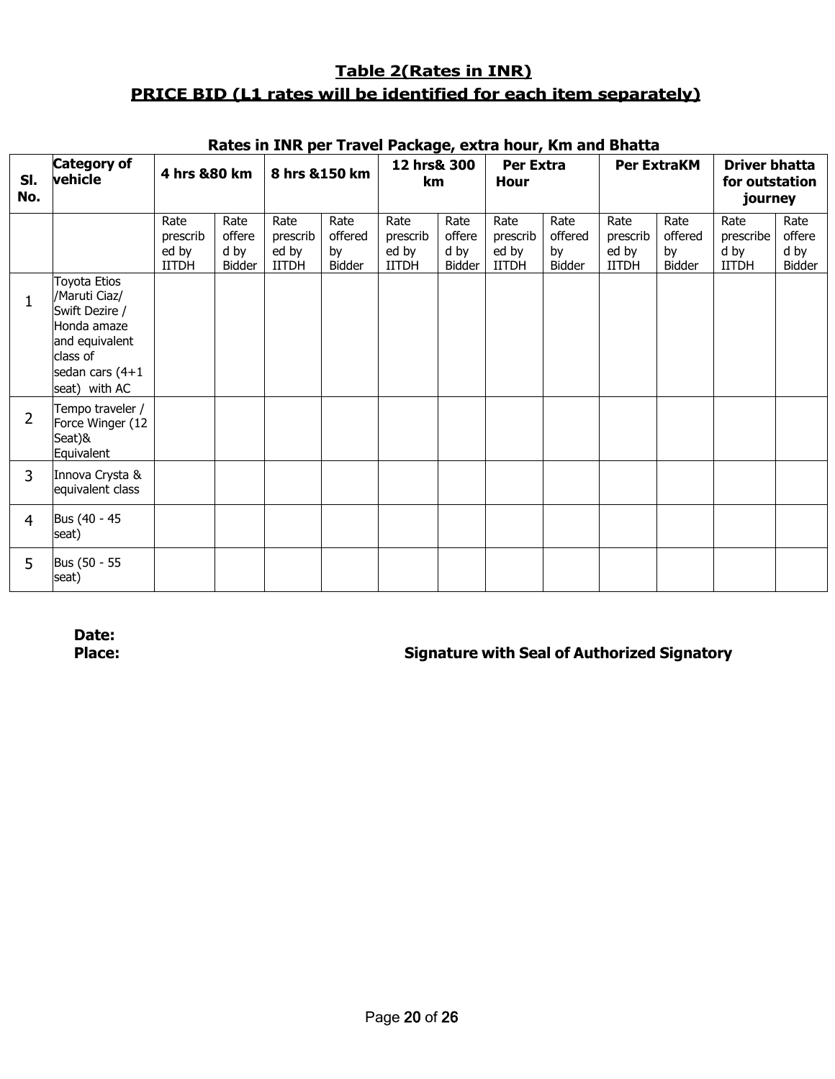# **Table 2(Rates in INR) PRICE BID (L1 rates will be identified for each item separately)**

| SI.<br>No.     | <b>Category of</b><br>vehicle                                                                                                       | 4 hrs &80 km                              |                                  | 8 hrs & 150 km                            |                                        | 12 hrs& 300<br>km                         |                                  | Per Extra<br>Hour                         |                                 |                                           | <b>Per ExtraKM</b>              | <b>Driver bhatta</b><br>for outstation<br>journey |                                  |
|----------------|-------------------------------------------------------------------------------------------------------------------------------------|-------------------------------------------|----------------------------------|-------------------------------------------|----------------------------------------|-------------------------------------------|----------------------------------|-------------------------------------------|---------------------------------|-------------------------------------------|---------------------------------|---------------------------------------------------|----------------------------------|
|                |                                                                                                                                     | Rate<br>prescrib<br>ed by<br><b>IITDH</b> | Rate<br>offere<br>d by<br>Bidder | Rate<br>prescrib<br>ed by<br><b>IITDH</b> | Rate<br>offered<br>by<br><b>Bidder</b> | Rate<br>prescrib<br>ed by<br><b>IITDH</b> | Rate<br>offere<br>d by<br>Bidder | Rate<br>prescrib<br>ed by<br><b>IITDH</b> | Rate<br>offered<br>by<br>Bidder | Rate<br>prescrib<br>ed by<br><b>IITDH</b> | Rate<br>offered<br>by<br>Bidder | Rate<br>prescribe<br>d by<br><b>IITDH</b>         | Rate<br>offere<br>d by<br>Bidder |
| 1              | Toyota Etios<br>/Maruti Ciaz/<br>Swift Dezire /<br>Honda amaze<br>and equivalent<br>class of<br>sedan cars $(4+1)$<br>seat) with AC |                                           |                                  |                                           |                                        |                                           |                                  |                                           |                                 |                                           |                                 |                                                   |                                  |
| $\overline{2}$ | Tempo traveler /<br>Force Winger (12<br>Seat)&<br>Equivalent                                                                        |                                           |                                  |                                           |                                        |                                           |                                  |                                           |                                 |                                           |                                 |                                                   |                                  |
| 3              | Innova Crysta &<br>equivalent class                                                                                                 |                                           |                                  |                                           |                                        |                                           |                                  |                                           |                                 |                                           |                                 |                                                   |                                  |
| 4              | Bus (40 - 45<br>seat)                                                                                                               |                                           |                                  |                                           |                                        |                                           |                                  |                                           |                                 |                                           |                                 |                                                   |                                  |
| 5              | Bus (50 - 55<br>seat)                                                                                                               |                                           |                                  |                                           |                                        |                                           |                                  |                                           |                                 |                                           |                                 |                                                   |                                  |

#### **Rates in INR per Travel Package, extra hour, Km and Bhatta**

**Date:**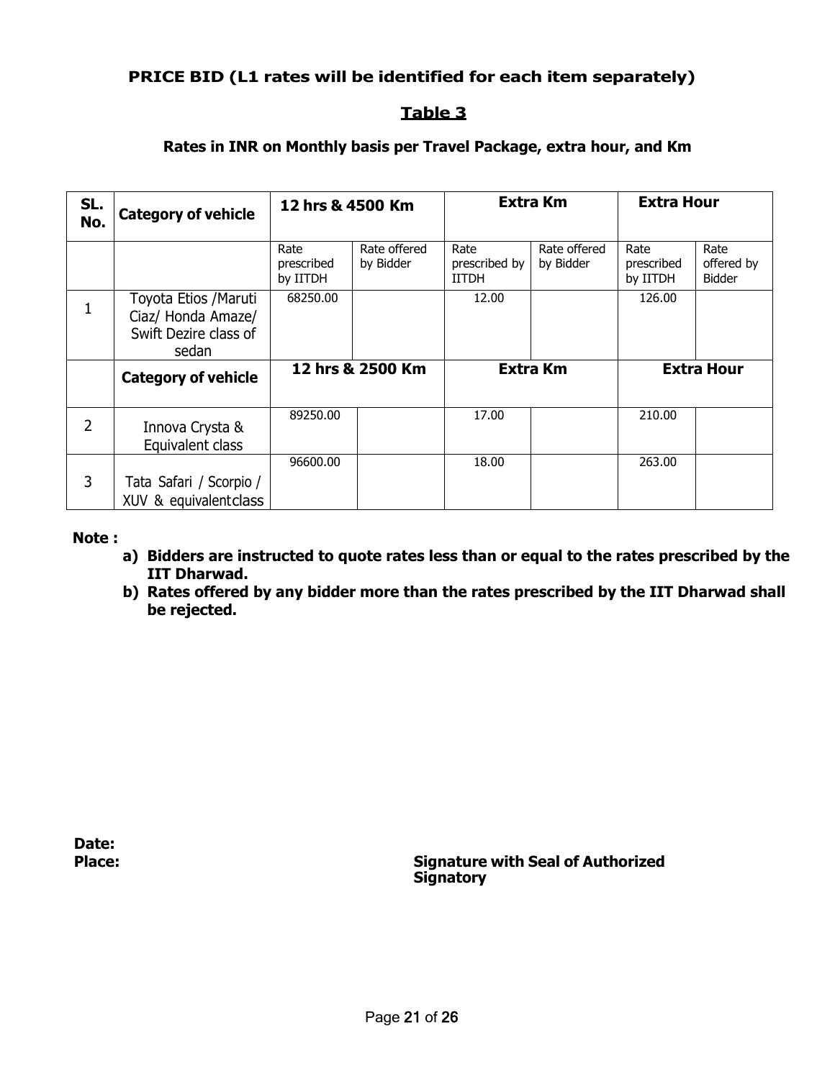# **PRICE BID (L1 rates will be identified for each item separately)**

## **Table 3**

## **Rates in INR on Monthly basis per Travel Package, extra hour, and Km**

| SL.<br>No. | <b>Category of vehicle</b>                                                    | 12 hrs & 4500 Km               |                           |                                       | <b>Extra Km</b>           | <b>Extra Hour</b>              |                                     |
|------------|-------------------------------------------------------------------------------|--------------------------------|---------------------------|---------------------------------------|---------------------------|--------------------------------|-------------------------------------|
|            |                                                                               | Rate<br>prescribed<br>by IITDH | Rate offered<br>by Bidder | Rate<br>prescribed by<br><b>IITDH</b> | Rate offered<br>by Bidder | Rate<br>prescribed<br>by IITDH | Rate<br>offered by<br><b>Bidder</b> |
| 1          | Toyota Etios / Maruti<br>Ciaz/ Honda Amaze/<br>Swift Dezire class of<br>sedan | 68250.00                       |                           | 12.00                                 |                           | 126.00                         |                                     |
|            | <b>Category of vehicle</b>                                                    |                                | 12 hrs & 2500 Km          |                                       | <b>Extra Km</b>           |                                | <b>Extra Hour</b>                   |
| 2          | Innova Crysta &<br>Equivalent class                                           | 89250.00                       |                           | 17.00                                 |                           | 210.00                         |                                     |
| 3          | Tata Safari / Scorpio /<br>XUV & equivalentclass                              | 96600.00                       |                           | 18.00                                 |                           | 263.00                         |                                     |

#### **Note :**

- **a) Bidders are instructed to quote rates less than or equal to the rates prescribed by the IIT Dharwad.**
- **b) Rates offered by any bidder more than the rates prescribed by the IIT Dharwad shall be rejected.**

**Date:**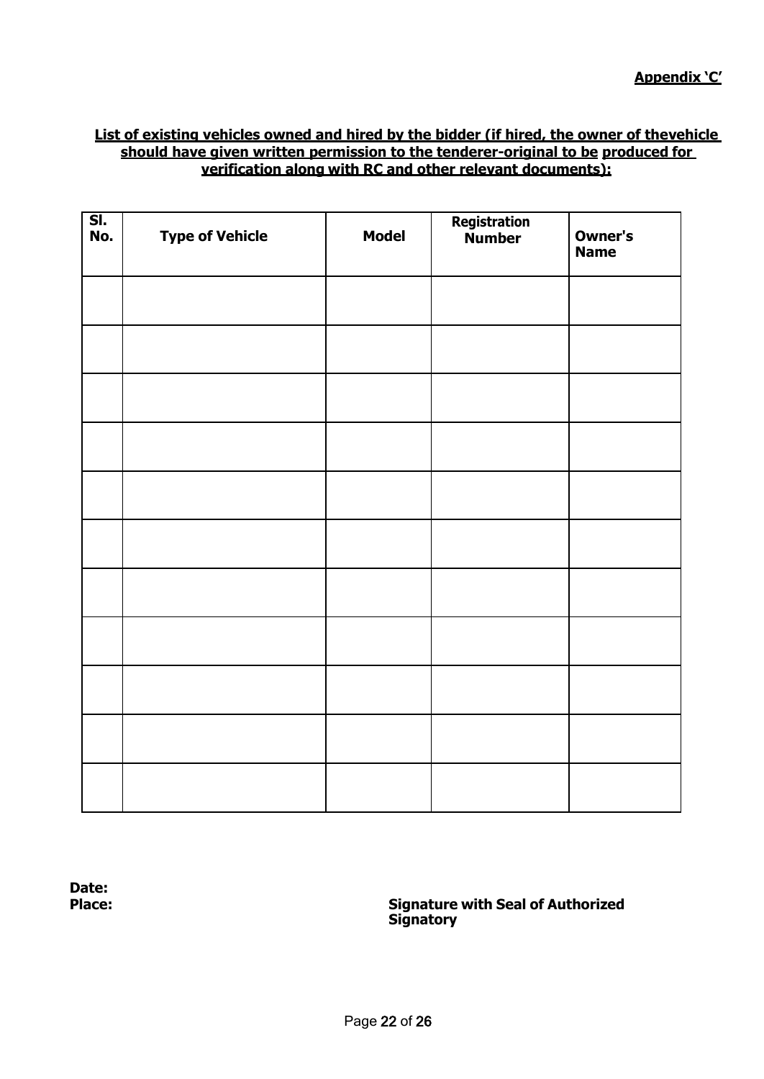#### **List of existing vehicles owned and hired by the bidder (if hired, the owner of thevehicle should have given written permission to the tenderer-original to be produced for verification along with RC and other relevant documents):**

| SI.<br>No. | <b>Type of Vehicle</b> | <b>Model</b> | Registration<br>Number | Owner's<br><b>Name</b> |
|------------|------------------------|--------------|------------------------|------------------------|
|            |                        |              |                        |                        |
|            |                        |              |                        |                        |
|            |                        |              |                        |                        |
|            |                        |              |                        |                        |
|            |                        |              |                        |                        |
|            |                        |              |                        |                        |
|            |                        |              |                        |                        |
|            |                        |              |                        |                        |
|            |                        |              |                        |                        |
|            |                        |              |                        |                        |
|            |                        |              |                        |                        |

**Date:**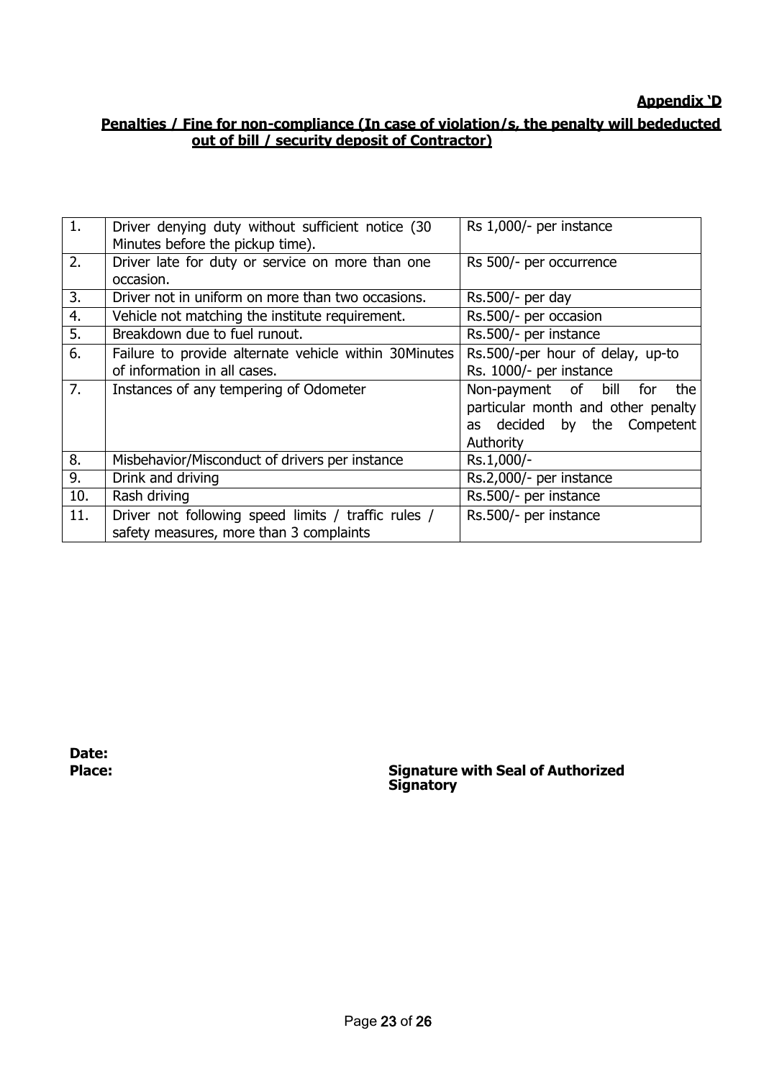# **Appendix 'D**

# **Penalties / Fine for non-compliance (In case of violation/s, the penalty will bededucted out of bill / security deposit of Contractor)**

| 1.  | Driver denying duty without sufficient notice (30<br>Minutes before the pickup time).          | Rs 1,000/- per instance                                                                                             |
|-----|------------------------------------------------------------------------------------------------|---------------------------------------------------------------------------------------------------------------------|
| 2.  | Driver late for duty or service on more than one<br>occasion.                                  | Rs 500/- per occurrence                                                                                             |
| 3.  | Driver not in uniform on more than two occasions.                                              | Rs.500/- per day                                                                                                    |
| 4.  | Vehicle not matching the institute requirement.                                                | Rs.500/- per occasion                                                                                               |
| 5.  | Breakdown due to fuel runout.                                                                  | Rs.500/- per instance                                                                                               |
| 6.  | Failure to provide alternate vehicle within 30Minutes<br>of information in all cases.          | Rs.500/-per hour of delay, up-to<br>Rs. 1000/- per instance                                                         |
| 7.  | Instances of any tempering of Odometer                                                         | Non-payment of bill<br>the<br>for<br>particular month and other penalty<br>as decided by the Competent<br>Authority |
|     |                                                                                                |                                                                                                                     |
| 8.  | Misbehavior/Misconduct of drivers per instance                                                 | Rs.1,000/-                                                                                                          |
| 9.  | Drink and driving                                                                              | Rs.2,000/- per instance                                                                                             |
| 10. | Rash driving                                                                                   | Rs.500/- per instance                                                                                               |
| 11. | Driver not following speed limits / traffic rules /<br>safety measures, more than 3 complaints | Rs.500/- per instance                                                                                               |

**Date:**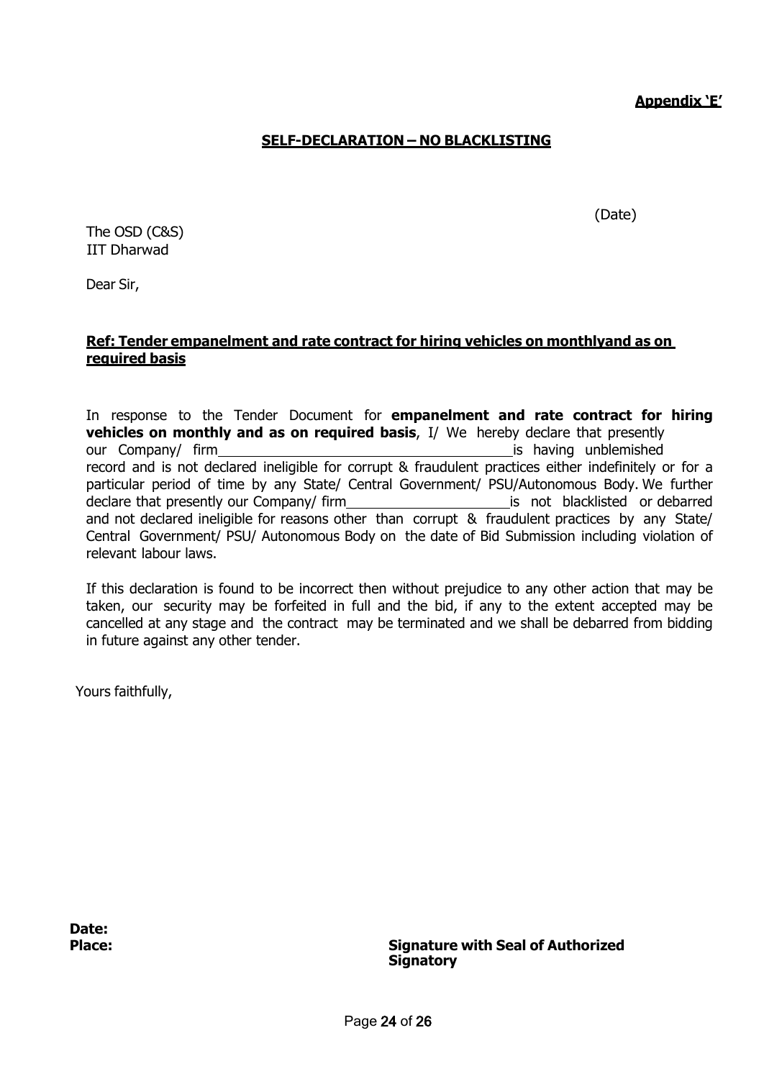**Appendix 'E'**

(Date)

### **SELF-DECLARATION – NO BLACKLISTING**

The OSD (C&S) IIT Dharwad

Dear Sir,

#### **Ref: Tender empanelment and rate contract for hiring vehicles on monthlyand as on required basis**

In response to the Tender Document for **empanelment and rate contract for hiring vehicles on monthly and as on required basis**, I/ We hereby declare that presently our Company/ firm is having unblemished record and is not declared ineligible for corrupt & fraudulent practices either indefinitely or for a particular period of time by any State/ Central Government/ PSU/Autonomous Body. We further declare that presently our Company/ firm is not blacklisted or debarred and not declared ineligible for reasons other than corrupt & fraudulent practices by any State/ Central Government/ PSU/ Autonomous Body on the date of Bid Submission including violation of relevant labour laws.

If this declaration is found to be incorrect then without prejudice to any other action that may be taken, our security may be forfeited in full and the bid, if any to the extent accepted may be cancelled at any stage and the contract may be terminated and we shall be debarred from bidding in future against any other tender.

Yours faithfully,

**Date:**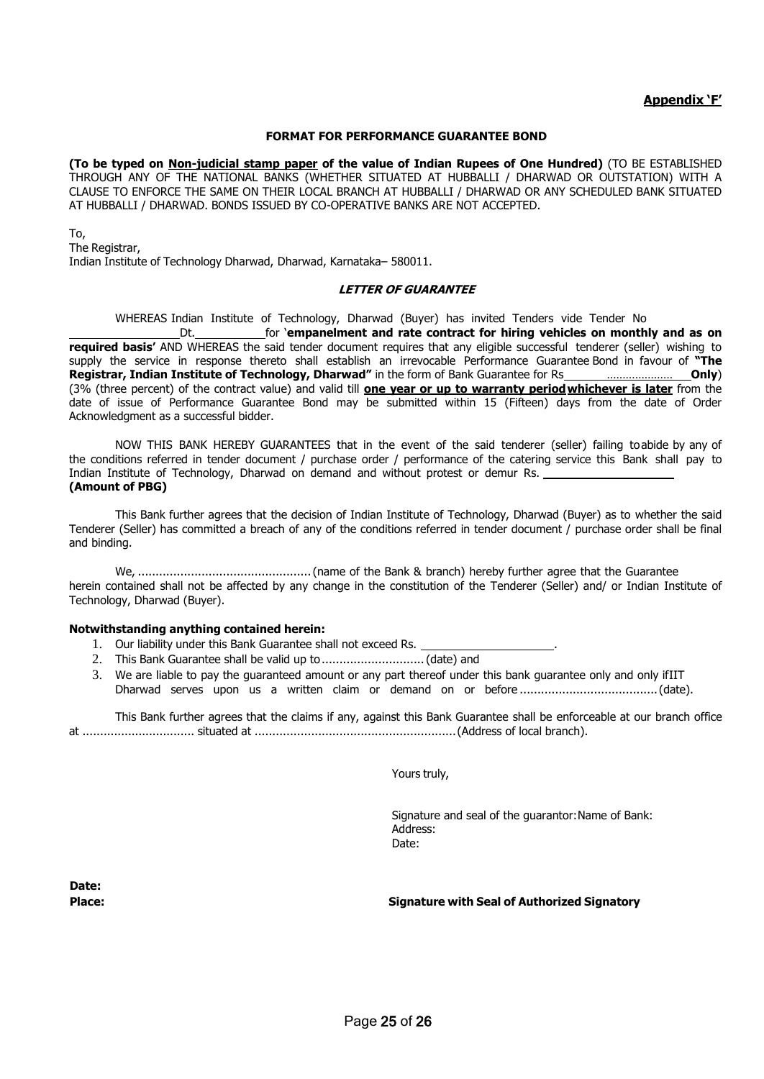#### **Appendix 'F'**

#### **FORMAT FOR PERFORMANCE GUARANTEE BOND**

**(To be typed on Non-judicial stamp paper of the value of Indian Rupees of One Hundred)** (TO BE ESTABLISHED THROUGH ANY OF THE NATIONAL BANKS (WHETHER SITUATED AT HUBBALLI / DHARWAD OR OUTSTATION) WITH A CLAUSE TO ENFORCE THE SAME ON THEIR LOCAL BRANCH AT HUBBALLI / DHARWAD OR ANY SCHEDULED BANK SITUATED AT HUBBALLI / DHARWAD. BONDS ISSUED BY CO-OPERATIVE BANKS ARE NOT ACCEPTED.

#### To,

The Registrar, Indian Institute of Technology Dharwad, Dharwad, Karnataka– 580011.

#### **LETTER OF GUARANTEE**

WHEREAS Indian Institute of Technology, Dharwad (Buyer) has invited Tenders vide Tender No

Dt. for '**empanelment and rate contract for hiring vehicles on monthly and as on required basis'** AND WHEREAS the said tender document requires that any eligible successful tenderer (seller) wishing to supply the service in response thereto shall establish an irrevocable Performance Guarantee Bond in favour of **"The Registrar, Indian Institute of Technology, Dharwad"** in the form of Bank Guarantee for Rs **\_\_\_\_\_\_\_\_\_\_\_\_\_\_\_\_\_\_\_\_\_\_\_\_Only**) (3% (three percent) of the contract value) and valid till **one year or up to warranty periodwhichever is later** from the date of issue of Performance Guarantee Bond may be submitted within 15 (Fifteen) days from the date of Order Acknowledgment as a successful bidder.

NOW THIS BANK HEREBY GUARANTEES that in the event of the said tenderer (seller) failing toabide by any of the conditions referred in tender document / purchase order / performance of the catering service this Bank shall pay to Indian Institute of Technology, Dharwad on demand and without protest or demur Rs. **(Amount of PBG)**

This Bank further agrees that the decision of Indian Institute of Technology, Dharwad (Buyer) as to whether the said Tenderer (Seller) has committed a breach of any of the conditions referred in tender document / purchase order shall be final and binding.

We, .................................................(name of the Bank & branch) hereby further agree that the Guarantee herein contained shall not be affected by any change in the constitution of the Tenderer (Seller) and/ or Indian Institute of Technology, Dharwad (Buyer).

#### **Notwithstanding anything contained herein:**

- 1. Our liability under this Bank Guarantee shall not exceed Rs. \_
- 2. This Bank Guarantee shall be valid up to ..................................(date) and
- 3. We are liable to pay the guaranteed amount or any part thereof under this bank guarantee only and only ifIIT Dharwad serves upon us a written claim or demand on or before .......................................(date).

This Bank further agrees that the claims if any, against this Bank Guarantee shall be enforceable at our branch office at ................................ situated at .........................................................(Address of local branch).

Yours truly,

Signature and seal of the guarantor:Name of Bank: Address: Date:

**Date:**